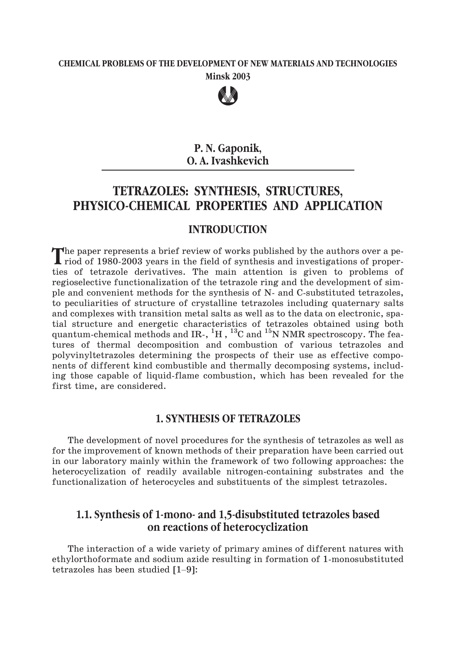# **CHEMICAL PROBLEMS OF THE DEVELOPMENT OF NEW MATERIALS AND TECHNOLOGIES Minsk 2003**



# **P. N. Gaponik, O. A. Ivashkevich**

# **TETRAZOLES: SYNTHESIS, STRUCTURES, PHYSICO-CHEMICAL PROPERTIES AND APPLICATION**

## **INTRODUCTION**

The paper represents a brief review of works published by the authors over a period of 1980-2003 years in the field of synthesis and investigations of properties of tetrazole derivatives. The main attention is given to problems of regioselective functionalization of the tetrazole ring and the development of simple and convenient methods for the synthesis of N- and C-substituted tetrazoles, to peculiarities of structure of crystalline tetrazoles including quaternary salts and complexes with transition metal salts as well as to the data on electronic, spatial structure and energetic characteristics of tetrazoles obtained using both quantum-chemical methods and IR-,  ${}^{1}H$  ,  ${}^{13}C$  and  ${}^{15}N$  NMR spectroscopy. The features of thermal decomposition and combustion of various tetrazoles and polyvinyltetrazoles determining the prospects of their use as effective components of different kind combustible and thermally decomposing systems, including those capable of liquid-flame combustion, which has been revealed for the first time, are considered.

# **1. SYNTHESIS OF TETRAZOLES**

The development of novel procedures for the synthesis of tetrazoles as well as for the improvement of known methods of their preparation have been carried out in our laboratory mainly within the framework of two following approaches: the heterocyclization of readily available nitrogen-containing substrates and the functionalization of heterocycles and substituents of the simplest tetrazoles.

# **on reactions of heterocyclization**

**1.1. Synthesis of 1-mono- and 1,5-disubstituted tetrazoles based**<br> **on reactions of heterocyclization**<br>
The interaction of a wide variety of primary amines of different natures<br>
ethylorthoformate and sodium azide resultin The interaction of a wide variety of primary amines of different natures with ethylorthoformate and sodium azide resulting in formation of 1-monosubstituted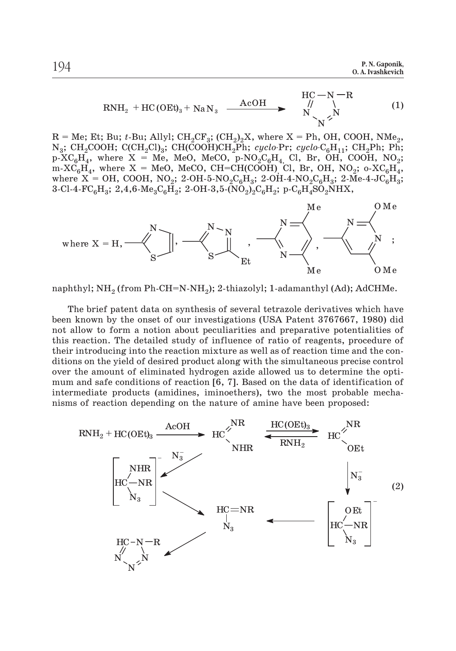$$
RNH_2 + HC(OEt)_3 + NaN_3 \xrightarrow{AcoH} \begin{array}{c} HC-N-R \\ N \searrow N \end{array} (1)
$$

 $R = Me$ ; Et; Bu; *t*-Bu; Allyl; CH<sub>2</sub>CF<sub>3</sub>; (CH<sub>2</sub>)<sub>2</sub>X, where  $X = Ph$ , OH, COOH, NMe<sub>2</sub>, N<sub>3</sub>; CH<sub>2</sub>COOH; C(CH<sub>2</sub>Cl)<sub>3</sub>; CH(COOH)CH<sub>2</sub>Ph; *cyclo-*Pr; *cyclo-C<sub>6</sub>H*<sub>11</sub>; CH<sub>2</sub>Ph; Ph<sub>2</sub> p- $\mathrm{XC}_6\mathrm{H}_4$ , where  $\mathrm{X}$  = Me, MeO, MeCO, p-NO<sub>2</sub>C<sub>6</sub>H<sub>4,</sub> Cl, Br, OH, COOH, NO<sub>2</sub>; m-XC $_{6}$ H<sub>4</sub>, where X = MeO, MeCO, CH=CH(COOH)<sub>,</sub> Cl, Br, OH, NO<sub>2</sub>; o-XC $_{6}$ H<sub>4</sub>, where  $X = OH$ , COOH, NO<sub>2</sub>; 2-OH-5-NO<sub>2</sub>C<sub>6</sub>H<sub>3</sub>; 2-OH-4-NO<sub>2</sub>C<sub>6</sub>H<sub>3</sub>; 2-Me-4-JC<sub>6</sub>H<sub>3</sub>; 3-Cl-4-FC<sub>6</sub>H<sub>3</sub>; 2,4,6-Me<sub>3</sub>C<sub>6</sub>H<sub>2</sub>; 2-OH-3,5-(NO<sub>2</sub>)<sub>2</sub>C<sub>6</sub>H<sub>2</sub>; p-C<sub>6</sub>H<sub>4</sub>SO<sub>2</sub>NHX,



naphthyl; NH<sub>2</sub> (from Ph-CH=N-NH<sub>2</sub>); 2-thiazolyl; 1-adamanthyl (Ad); AdCHMe.

The brief patent data on synthesis of several tetrazole derivatives which have been known by the onset of our investigations (USA Patent 3767667, 1980) did not allow to form a notion about peculiarities and preparative potentialities of this reaction. The detailed study of influence of ratio of reagents, procedure of their introducing into the reaction mixture as well as of reaction time and the conditions on the yield of desired product along with the simultaneous precise control over the amount of eliminated hydrogen azide allowed us to determine the optimum and safe conditions of reaction [6, 7]. Based on the data of identification of intermediate products (amidines, iminoethers), two the most probable mechanisms of reaction depending on the nature of amine have been proposed:

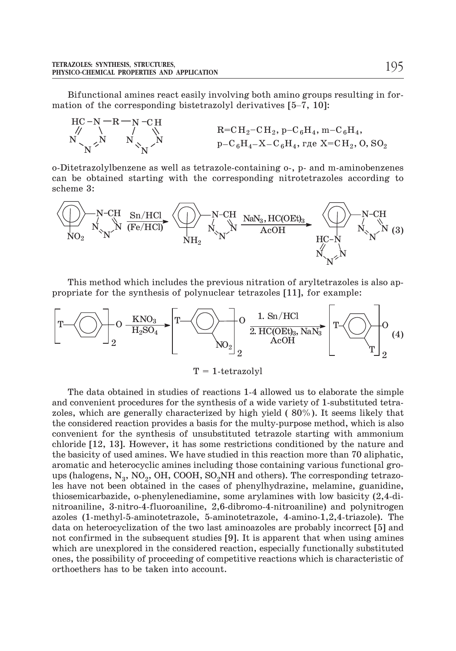Bifunctional amines react easily involving both amino groups resulting in formation of the corresponding bistetrazolyl derivatives [5–7, 10]:



o-Ditetrazolylbenzene as well as tetrazole-containing o-, p- and m-aminobenzenes can be obtained starting with the corresponding nitrotetrazoles according to scheme 3:



This method which includes the previous nitration of aryltetrazoles is also appropriate for the synthesis of polynuclear tetrazoles [11], for example:



 $T = 1$ -tetrazolyl

The data obtained in studies of reactions 1-4 allowed us to elaborate the simple and convenient procedures for the synthesis of a wide variety of 1-substituted tetrazoles, which are generally characterized by high yield ( 80%). It seems likely that the considered reaction provides a basis for the multy-purpose method, which is also convenient for the synthesis of unsubstituted tetrazole starting with ammonium chloride [12, 13]. However, it has some restrictions conditioned by the nature and the basicity of used amines. We have studied in this reaction more than 70 aliphatic, aromatic and heterocyclic amines including those containing various functional groups (halogens,  $N_3$ , NO<sub>2</sub>, OH, COOH, SO<sub>2</sub>NH and others). The corresponding tetrazoles have not been obtained in the cases of phenylhydrazine, melamine, guanidine, thiosemicarbazide, o-phenylenediamine, some arylamines with low basicity (2,4-dinitroaniline, 3-nitro-4-fluoroaniline, 2,6-dibromo-4-nitroaniline) and polynitrogen azoles (1-methyl-5-aminotetrazole, 5-aminotetrazole, 4-amino-1,2,4-triazole). The data on heterocyclization of the two last aminoazoles are probably incorrect [5] and not confirmed in the subsequent studies [9]. It is apparent that when using amines which are unexplored in the considered reaction, especially functionally substituted ones, the possibility of proceeding of competitive reactions which is characteristic of orthoethers has to be taken into account.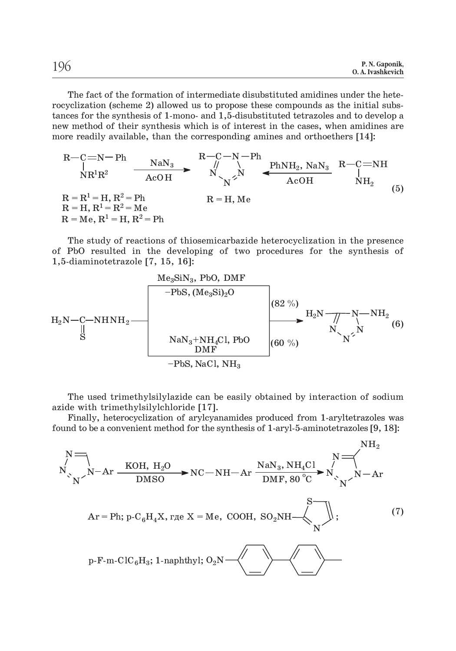The fact of the formation of intermediate disubstituted amidines under the heterocyclization (scheme 2) allowed us to propose these compounds as the initial substances for the synthesis of 1-mono- and 1,5-disubstituted tetrazoles and to develop a new method of their synthesis which is of interest in the cases, when amidines are more readily available, than the corresponding amines and orthoethers [14]:



The study of reactions of thiosemicarbazide heterocyclization in the presence of PbO resulted in the developing of two procedures for the synthesis of 1,5-diaminotetrazole [7, 15, 16]:



The used trimethylsilylazide can be easily obtained by interaction of sodium azide with trimethylsilylchloride [17].

Finally, heterocyclization of arylcyanamides produced from 1-aryltetrazoles was found to be a convenient method for the synthesis of 1-aryl-5-aminotetrazoles [9, 18]:

N =  
\n
$$
N
$$
\n
$$
N
$$
\n
$$
N
$$
\n
$$
N
$$
\n
$$
N
$$
\n
$$
N
$$
\n
$$
N
$$
\n
$$
N
$$
\n
$$
N
$$
\n
$$
N
$$
\n
$$
N
$$
\n
$$
N
$$
\n
$$
N
$$
\n
$$
N
$$
\n
$$
N
$$
\n
$$
N
$$
\n
$$
N
$$
\n
$$
N
$$
\n
$$
N
$$
\n
$$
N
$$
\n
$$
N
$$
\n
$$
N
$$
\n
$$
N
$$
\n
$$
N
$$
\n
$$
N
$$
\n
$$
N
$$
\n
$$
N
$$
\n
$$
N
$$
\n
$$
N
$$
\n
$$
N
$$
\n
$$
N
$$
\n
$$
N
$$
\n
$$
N
$$
\n
$$
N
$$
\n
$$
N
$$
\n
$$
N
$$
\n
$$
N
$$
\n
$$
N
$$
\n
$$
N
$$
\n
$$
N
$$
\n
$$
N
$$
\n
$$
N
$$
\n
$$
N
$$
\n
$$
N
$$
\n
$$
N
$$
\n
$$
N
$$
\n
$$
N
$$
\n
$$
N
$$
\n
$$
N
$$
\n
$$
N
$$
\n
$$
N
$$
\n
$$
N
$$
\n
$$
N
$$
\n
$$
N
$$
\n
$$
N
$$
\n
$$
N
$$
\n
$$
N
$$
\n
$$
N
$$
\n
$$
N
$$
\n
$$
N
$$
\n
$$
N
$$
\n
$$
N
$$
\n
$$
N
$$
\n
$$
N
$$
\n
$$
N
$$
\n
$$
N
$$
\n
$$
N
$$
\n
$$
N
$$
\n
$$
N
$$
\n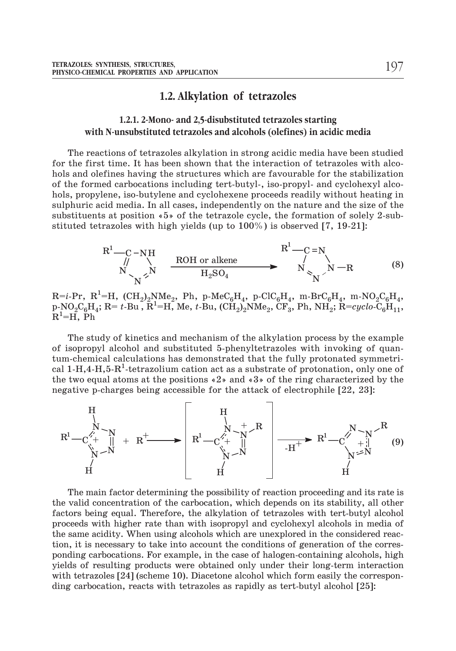# **1.2. Alkylation of tetrazoles**

### **1.2.1. 2-Mono- and 2,5-disubstituted tetrazoles starting with N-unsubstituted tetrazoles and alcohols (olefines) in acidic media**

The reactions of tetrazoles alkylation in strong acidic media have been studied for the first time. It has been shown that the interaction of tetrazoles with alcohols and olefines having the structures which are favourable for the stabilization of the formed carbocations including tert-butyl-, iso-propyl- and cyclohexyl alcohols, propylene, iso-butylene and cyclohexene proceeds readily without heating in sulphuric acid media. In all cases, independently on the nature and the size of the substituents at position «5» of the tetrazole cycle, the formation of solely 2-substituted tetrazoles with high yields (up to 100%) is observed [7, 19-21]:

$$
R^{1} \longrightarrow_{N} R^{1} \longrightarrow_{N} ROH \text{ or alkene} R^{1} \longrightarrow_{N} R^{1} \longrightarrow_{N} R^{1} \longrightarrow_{N} R^{1}
$$
\n
$$
R^{1} \longrightarrow_{N} R^{1} \longrightarrow_{N} R^{1} \longrightarrow_{N} R^{1}
$$
\n(8)

 $\rm R\texttt{=}i\texttt{-}Pr, \ \rm R^1\texttt{=}H, \ \rm (CH_2)_2NMe_2, \ \rm Ph, \ \rm p\texttt{-}MeC_6H_4, \ \rm p\texttt{-}ClC_6H_4, \ \rm m\texttt{-}BrC_6H_4, \ \rm m\texttt{-}NO_2C_6H_4,$  $p\text{-}NO_2C_6H_4$ ; R= *t*-Bu,  $R^1$ =H, Me, *t*-Bu,  $(\text{CH}_2)_2^TNMe_2$ ,  $\text{CF}_3^T$ , Ph,  $NH_2$ ;  $R=cyclo-C_6H_1$ ,  $\mathrm{\tilde{R}^{1}}\text{=}\tilde{\mathrm{H}}, \ \mathrm{\tilde{P}h}$ 

The study of kinetics and mechanism of the alkylation process by the example of isopropyl alcohol and substituted 5-phenyltetrazoles with invoking of quantum-chemical calculations has demonstrated that the fully protonated symmetrical 1-H,4-H,5-R<sup>1</sup>-tetrazolium cation act as a substrate of protonation, only one of the two equal atoms at the positions «2» and «3» of the ring characterized by the negative p-charges being accessible for the attack of electrophile [22, 23]:



The main factor determining the possibility of reaction proceeding and its rate is the valid concentration of the carbocation, which depends on its stability, all other factors being equal. Therefore, the alkylation of tetrazoles with tert-butyl alcohol proceeds with higher rate than with isopropyl and cyclohexyl alcohols in media of the same acidity. When using alcohols which are unexplored in the considered reaction, it is necessary to take into account the conditions of generation of the corresponding carbocations. For example, in the case of halogen-containing alcohols, high yields of resulting products were obtained only under their long-term interaction with tetrazoles [24] (scheme 10). Diacetone alcohol which form easily the corresponding carbocation, reacts with tetrazoles as rapidly as tert-butyl alcohol [25]: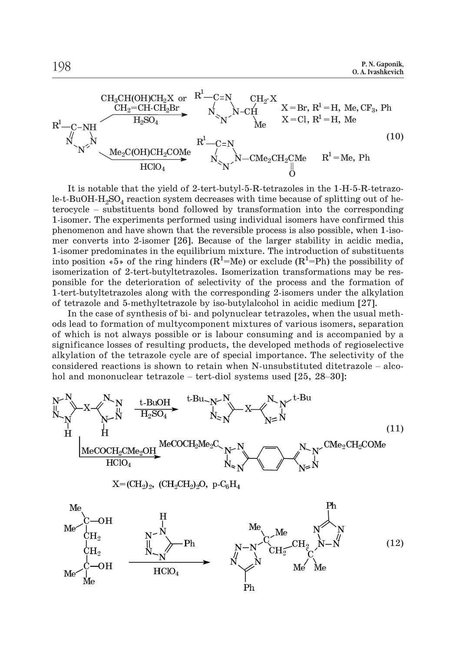

It is notable that the yield of 2-tert-butyl-5-R-tetrazoles in the 1-H-5-R-tetrazole-t-BuOH- $H_2SO_4$  reaction system decreases with time because of splitting out of he-<br>terocycle – substituents bond followed by transformation into the corresponding 1-isomer. The experiments performed using individual isomers have confirmed this phenomenon and have shown that the reversible process is also possible, when 1-isomer converts into 2-isomer [26]. Because of the larger stability in acidic media, 1-isomer predominates in the equilibrium mixture. The introduction of substituents into position «5» of the ring hinders  $(R^1=Me)$  or exclude  $(R^1=Ph)$  the possibility of isomerization of 2-tert-butyltetrazoles. Isomerization transformations may be responsible for the deterioration of selectivity of the process and the formation of 1-tert-butyltetrazoles along with the corresponding 2-isomers under the alkylation of tetrazole and 5-methyltetrazole by iso-butylalcohol in acidic medium [27].

In the case of synthesis of bi- and polynuclear tetrazoles, when the usual methods lead to formation of multycomponent mixtures of various isomers, separation of which is not always possible or is labour consuming and is accompanied by a significance losses of resulting products, the developed methods of regioselective alkylation of the tetrazole cycle are of special importance. The selectivity of the In the case of synthesis of bi- and polynuclear tetrazoles, when the usual methods lead to formation of multycomponent mixtures of various isomers, separation of which is not always possible or is labour consuming and is considered reactions is shown to retain when N-unsubstituted ditetrazole – alcohol and mononuclear tetrazole – tert-diol systems used  $[25, 28-30]$ :

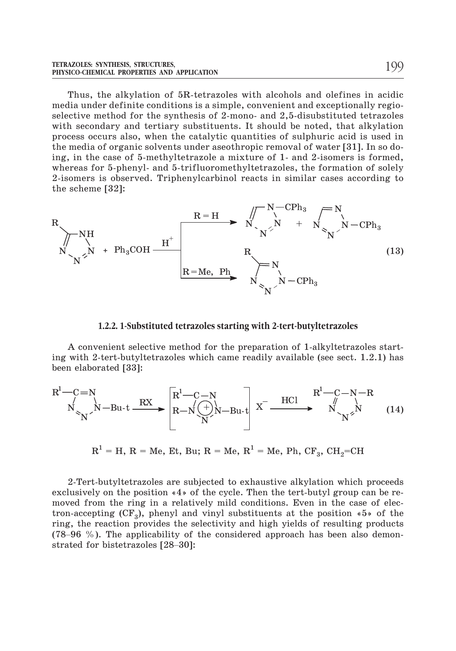Thus, the alkylation of 5R-tetrazoles with alcohols and olefines in acidic media under definite conditions is a simple, convenient and exceptionally regioselective method for the synthesis of 2-mono- and 2,5-disubstituted tetrazoles with secondary and tertiary substituents. It should be noted, that alkylation process occurs also, when the catalytic quantities of sulphuric acid is used in the media of organic solvents under aseothropic removal of water [31]. In so doing, in the case of 5-methyltetrazole a mixture of 1- and 2-isomers is formed, whereas for 5-phenyl- and 5-trifluoromethyltetrazoles, the formation of solely 2-isomers is observed. Triphenylcarbinol reacts in similar cases according to the scheme [32]:

$$
R\n\begin{array}{ccc}\nR\n\end{array}\n\begin{array}{ccc}\n\downarrow & & R = H & \nearrow \searrow^{N-CPh_3} & \nearrow N \\
N & & & N & \nearrow \\
N & & & N & \nearrow \\
N & & & N & \nearrow\n\end{array}\n\begin{array}{ccc}\n\downarrow & & & N & \nearrow \\
N & & & & N & \nearrow \\
N & & & & N & \nearrow \\
& & & & & N & \nearrow \\
& & & & & N & \nearrow \\
& & & & & N & \nearrow \\
& & & & & N & \nearrow \\
& & & & & N & \nearrow \\
& & & & & N & \nearrow\n\end{array}\n\end{array}
$$
\n(13)

#### **1.2.2. 1-Substituted tetrazoles starting with 2-tert-butyltetrazoles**

A convenient selective method for the preparation of 1-alkyltetrazoles starting with 2-tert-butyltetrazoles which came readily available (see sect. 1.2.1) has been elaborated [33]:

$$
R^{1} - C = N
$$
  
\n
$$
N \times N^{-1} - Bu \cdot t \xrightarrow{RX} RX \longrightarrow R^{1} - C - N
$$
  
\n
$$
R - N \left(\frac{1}{N}\right)N - Bu \cdot t
$$
  
\n
$$
X^{-} \xrightarrow{HC1} R^{1} - C - N - R
$$
  
\n
$$
N \times N
$$
  
\n
$$
N \times N
$$
\n(14)

 $R<sup>1</sup> = H$ , R = Me, Et, Bu; R = Me,  $R<sup>1</sup>$  = Me, Ph, CF<sub>3</sub>, CH<sub>2</sub>=CH

2-Tert-butyltetrazoles are subjected to exhaustive alkylation which proceeds exclusively on the position «4» of the cycle. Then the tert-butyl group can be removed from the ring in a relatively mild conditions. Even in the case of electron-accepting  $(CF_3)$ , phenyl and vinyl substituents at the position  $*5*$  of the ring, the reaction provides the selectivity and high yields of resulting products 2-Tert-butyltetrazoles are subjected to exhaustive alkylation which proceeds exclusively on the position  $*4*$  of the cycle. Then the tert-butyl group can be removed from the ring in a relatively mild conditions. Even in exclusively on the position  $*4$ , of moved from the ring in a relatition-accepting (CF<sub>3</sub>), phenyl and ring, the reaction provides the s (78–96 %). The applicability of strated for bistetrazoles [28–30]: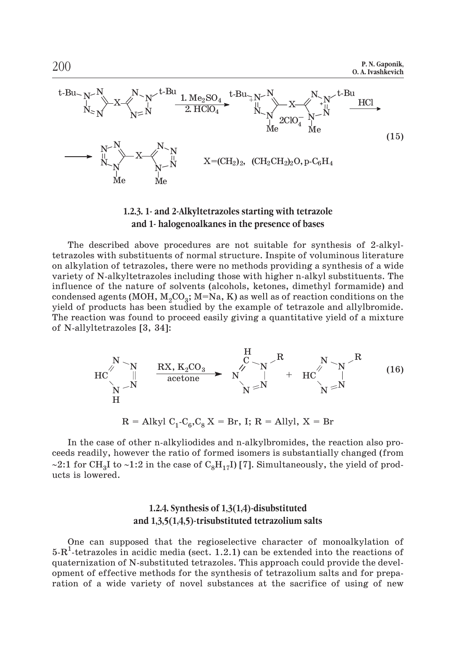

#### **1.2.3. 1- and 2-Alkyltetrazoles starting with tetrazole and 1- halogenoalkanes in the presence of bases**

The described above procedures are not suitable for synthesis of 2-alkyltetrazoles with substituents of normal structure. Inspite of voluminous literature on alkylation of tetrazoles, there were no methods providing a synthesis of a wide variety of N-alkyltetrazoles including those with higher n-alkyl substituents. The influence of the nature of solvents (alcohols, ketones, dimethyl formamide) and condensed agents (MOH,  $M_2CO_3$ ; M=Na, K) as well as of reaction conditions on the yield of products has been studied by the example of tetrazole and allylbromide. The reaction was found to proceed easily giving a quantitative yield of a mixture of N-allyltetrazoles [3, 34]:

$$
\text{HC} \begin{matrix} N & N \\ N & \text{N} \\ \text{N} & \text{accept} \\ N \end{matrix} \xrightarrow[\text{RX}, K_2 \text{CO}_3]{\text{RX}, K_2 \text{CO}_3} \begin{matrix} H & R & N \\ C & N & \text{N} \\ \text{accept} & \text{N} & \text{N} \\ N & \text{N} & \text{N} \end{matrix} + \text{HC} \begin{matrix} R & N \\ N & \text{N} \\ \text{N} & \text{N} \end{matrix} \xrightarrow[\text{N}]{\text{R}} \tag{16}
$$

 $R = Alkyl C_1-C_6, C_8 X = Br$ , I;  $R = Allyl$ ,  $X = Br$ 

In the case of other n-alkyliodides and n-alkylbromides, the reaction also proceeds readily, however the ratio of formed isomers is substantially changed (from ~2:1 for CH<sub>3</sub>I to ~1:2 in the case of C<sub>8</sub>H<sub>17</sub>I) [7]. Simultaneously, the yield of products is lowered.

### **1.2.4. Synthesis of 1,3(1,4)-disubstituted and 1,3,5(1,4,5)-trisubstituted tetrazolium salts**

One can supposed that the regioselective character of monoalkylation of  $5-R<sup>1</sup>$ -tetrazoles in acidic media (sect. 1.2.1) can be extended into the reactions of quaternization of N-substituted tetrazoles. This approach could provide the development of effective methods for the synthesis of tetrazolium salts and for preparation of a wide variety of novel substances at the sacrifice of using of new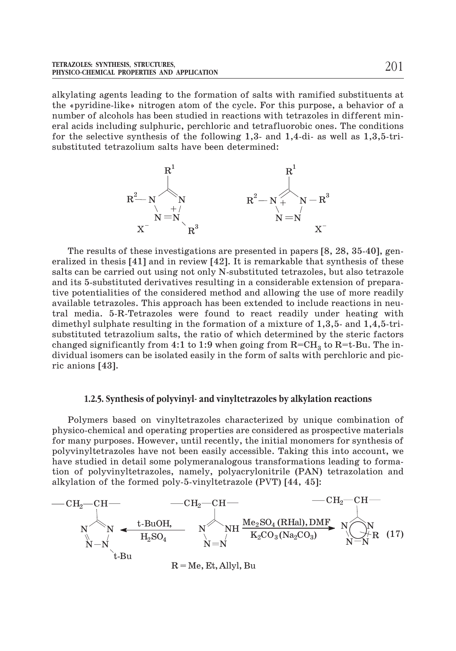alkylating agents leading to the formation of salts with ramified substituents at the «pyridine-like» nitrogen atom of the cycle. For this purpose, a behavior of a number of alcohols has been studied in reactions with tetrazoles in different mineral acids including sulphuric, perchloric and tetrafluorobic ones. The conditions for the selective synthesis of the following 1,3- and 1,4-di- as well as 1,3,5-trisubstituted tetrazolium salts have been determined:



The results of these investigations are presented in papers [8, 28, 35-40], generalized in thesis [41] and in review [42]. It is remarkable that synthesis of these salts can be carried out using not only N-substituted tetrazoles, but also tetrazole and its 5-substituted derivatives resulting in a considerable extension of preparative potentialities of the considered method and allowing the use of more readily available tetrazoles. This approach has been extended to include reactions in neutral media. 5-R-Tetrazoles were found to react readily under heating with dimethyl sulphate resulting in the formation of a mixture of 1,3,5- and 1,4,5-trisubstituted tetrazolium salts, the ratio of which determined by the steric factors changed significantly from 4:1 to 1:9 when going from  $R=CH_3$  to  $R=t-Bu$ . The individual isomers can be isolated easily in the form of salts with perchloric and picric anions [43].

#### **1.2.5. Synthesis of polyvinyl- and vinyltetrazoles by alkylation reactions**

Polymers based on vinyltetrazoles characterized by unique combination of physico-chemical and operating properties are considered as prospective materials for many purposes. However, until recently, the initial monomers for synthesis of polyvinyltetrazoles have not been easily accessible. Taking this into account, we have studied in detail some polymeranalogous transformations leading to formation of polyvinyltetrazoles, namely, polyacrylonitrile (PAN) tetrazolation and alkylation of the formed poly-5-vinyltetrazole (PVT) [44, 45]:

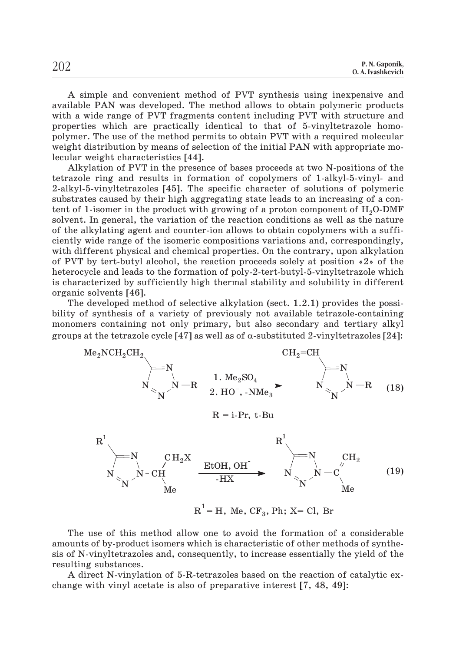A simple and convenient method of PVT synthesis using inexpensive and available PAN was developed. The method allows to obtain polymeric products with a wide range of PVT fragments content including PVT with structure and properties which are practically identical to that of 5-vinyltetrazole homopolymer. The use of the method permits to obtain PVT with a required molecular weight distribution by means of selection of the initial PAN with appropriate molecular weight characteristics [44].

Alkylation of PVT in the presence of bases proceeds at two N-positions of the tetrazole ring and results in formation of copolymers of 1-alkyl-5-vinyl- and 2-alkyl-5-vinyltetrazoles [45]. The specific character of solutions of polymeric substrates caused by their high aggregating state leads to an increasing of a content of 1-isomer in the product with growing of a proton component of  $H<sub>2</sub>O-DMF$ solvent. In general, the variation of the reaction conditions as well as the nature of the alkylating agent and counter-ion allows to obtain copolymers with a sufficiently wide range of the isomeric compositions variations and, correspondingly, with different physical and chemical properties. On the contrary, upon alkylation of PVT by tert-butyl alcohol, the reaction proceeds solely at position «2» of the heterocycle and leads to the formation of poly-2-tert-butyl-5-vinyltetrazole which is characterized by sufficiently high thermal stability and solubility in different organic solvents [46].

The developed method of selective alkylation (sect. 1.2.1) provides the possibility of synthesis of a variety of previously not available tetrazole-containing monomers containing not only primary, but also secondary and tertiary alkyl groups at the tetrazole cycle  $[47]$  as well as of  $\alpha$ -substituted 2-vinyltetrazoles  $[24]$ :

$$
{}^{Me_{2}NCH_{2}CH_{2}}
$$
\n
$$
{}^{CH_{2}=CH}
$$
\n
$$
{}^{CH_{2}=CH}
$$
\n
$$
{}^{H_{2}=CH}
$$
\n
$$
{}^{H_{2}=CH}
$$
\n
$$
{}^{H_{2}=CH}
$$
\n
$$
{}^{H_{2}=CH}
$$
\n
$$
{}^{H_{2}=CH}
$$
\n
$$
{}^{H_{2}=CH}
$$
\n
$$
{}^{H_{2}=CH}
$$
\n
$$
{}^{H_{2}=CH}
$$
\n
$$
R = i-Pr, t-Bu
$$
\n
$$
R^{1}
$$
\n
$$
{}^{H_{2}}
$$
\n
$$
{}^{H_{2}}
$$
\n
$$
{}^{H_{2}}
$$
\n
$$
{}^{H_{2}}
$$
\n
$$
R^{1}
$$
\n
$$
{}^{H_{2}}
$$
\n
$$
{}^{H_{2}}
$$
\n
$$
{}^{H_{2}}
$$
\n
$$
{}^{H_{2}}
$$
\n
$$
{}^{H_{2}}
$$
\n
$$
{}^{H_{2}}
$$
\n
$$
{}^{H_{2}}
$$
\n
$$
{}^{H_{2}}
$$
\n
$$
{}^{H_{2}}
$$
\n
$$
{}^{H_{2}}
$$
\n
$$
{}^{H_{2}}
$$
\n
$$
{}^{H_{2}}
$$
\n
$$
{}^{H_{2}}
$$
\n
$$
{}^{H_{2}}
$$
\n
$$
{}^{H_{2}}
$$
\n
$$
{}^{H_{2}}
$$
\n
$$
{}^{H_{2}}
$$
\n
$$
{}^{H_{2}}
$$
\n
$$
{}^{H_{2}}
$$
\n
$$
{}^{H_{2}}
$$
\n
$$
{}^{H_{2}}
$$
\n
$$
{}^{H_{2}}
$$
\n
$$
{}^{H_{2}}
$$
\n
$$
{}^{H_{2}}
$$
\n
$$
{}^{H_{2}}
$$
\n
$$
{}^{H_{2}}
$$
\n
$$
{}^{H_{2}}
$$
\n
$$
{}^{H_{2}}
$$
\n
$$
{}^{H_{2}}
$$
\n
$$
{}^{H_{2}}
$$
\n
$$
{}^{H_{2}}
$$
\n<

The use of this method allow one to avoid the formation of a considerable amounts of by-product isomers which is characteristic of other methods of synthesis of N-vinyltetrazoles and, consequently, to increase essentially the yield of the resulting substances.

A direct N-vinylation of 5-R-tetrazoles based on the reaction of catalytic exchange with vinyl acetate is also of preparative interest [7, 48, 49]: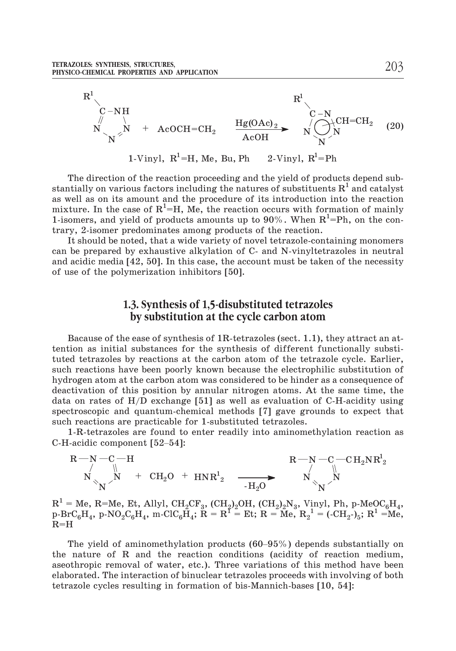

The direction of the reaction proceeding and the yield of products depend substantially on various factors including the natures of substituents  $R^1$  and catalyst as well as on its amount and the procedure of its introduction into the reaction mixture. In the case of  $\mathrm{R}^{1}\text{=}$ H, Me, the reaction occurs with formation of mainly 1-isomers, and yield of products amounts up to 90%. When  $R^1$ =Ph, on the contrary, 2-isomer predominates among products of the reaction.

It should be noted, that a wide variety of novel tetrazole-containing monomers can be prepared by exhaustive alkylation of C- and N-vinyltetrazoles in neutral and acidic media [42, 50]. In this case, the account must be taken of the necessity of use of the polymerization inhibitors [50].

## **1.3. Synthesis of 1,5-disubstituted tetrazoles by substitution at the cycle carbon atom**

Bacause of the ease of synthesis of 1R-tetrazoles (sect. 1.1), they attract an attention as initial substances for the synthesis of different functionally substituted tetrazoles by reactions at the carbon atom of the tetrazole cycle. Earlier, such reactions have been poorly known because the electrophilic substitution of hydrogen atom at the carbon atom was considered to be hinder as a consequence of deactivation of this position by annular nitrogen atoms. At the same time, the data on rates of  $H/D$  exchange [51] as well as evaluation of C-H-acidity using spectroscopic and quantum-chemical methods [7] gave grounds to expect that such reactions are practicable for 1-substituted tetrazoles.

1-R-tetrazoles are found to enter readily into aminomethylation reaction as C-H-acidic component [52–54]:



 $R^1$  = Me, R=Me, Et, Allyl, CH<sub>2</sub>CF<sub>3</sub>, (CH<sub>2</sub>)<sub>2</sub>OH, (CH<sub>2</sub>)<sub>2</sub>N<sub>3</sub>, Vinyl, Ph, p-MeQC<sub>6</sub>H<sub>4</sub>,  $p\text{-}BrC_6H_4$ ,  $p\text{-}NO_2C_6H_4$ , m-ClC<sub>6</sub> $\tilde{H}_4$ ;  $\tilde{R} = R^T = Et$ ;  $R = Me$ ,  $R_2^{-1} = (-CH_2-)_{5}$ ;  $R^1 = Me$ ,  $R=H$  $N$   $-H_2O$   $N$   $N$ <br>  $=$  Me, R=Me, Et, Allyl, CH<sub>2</sub>CF<sub>3</sub>, (CH<sub>2</sub>)<sub>2</sub>OH, (CH<sub>2</sub>)<sub>2</sub>N<sub>3</sub>, Vinyl, Ph, p-MeOC<sub>6</sub>H<sub>4</sub>,<br>
rC<sub>6</sub>H<sub>4</sub>, p-NO<sub>2</sub>C<sub>6</sub>H<sub>4</sub>, m-ClC<sub>6</sub>H<sub>4</sub>; R = R<sup>f</sup> = Et; R = Me, R<sub>2</sub><sup>1</sup> = (-CH<sub>2</sub>-)<sub>5</sub>; R<sup>1</sup> = Me,<br>
H<br>
The

the nature of R and the reaction conditions (acidity of reaction medium, aseothropic removal of water, etc.). Three variations of this method have been elaborated. The interaction of binuclear tetrazoles proceeds with involving of both tetrazole cycles resulting in formation of bis-Mannich-bases [10, 54]: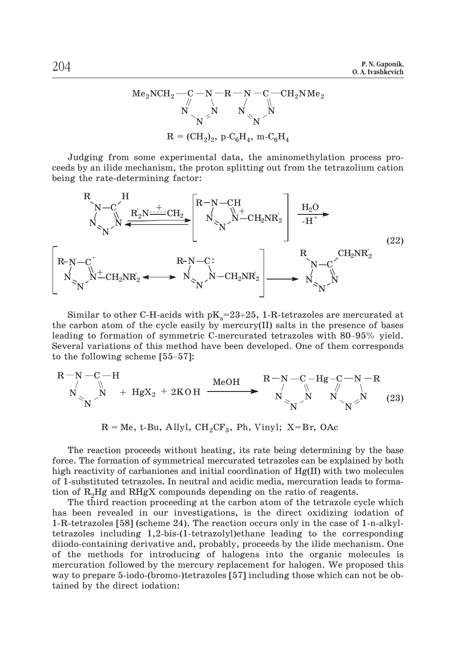R = (CH2)2, p-C6Í4, m-C6H4 Me2NCH2 R N N N C N CH2NMe2 N N N N C

Judging from some experimental data, the aminomethylation process proceeds by an ilide mechanism, the proton splitting out from the tetrazolium cation being the rate-determining factor:



Similar to other C-H-acids with  $\rm{pK}_{a}=23\div25$ , 1-R-tetrazoles are mercurated at the carbon atom of the cycle easily by mercury(II) salts in the presence of bases  $\begin{bmatrix} N_{\text{max}} & N - \text{CH}_2\text{NR}_2 \end{bmatrix}$   $\begin{bmatrix} N - \text{CH}_2\text{NR}_2 \\ N \end{bmatrix}$   $\begin{bmatrix} N_{\text{max}} & N \end{bmatrix}$ <br>Similar to other C-H-acids with  $pK_a = 23 \div 25$ , 1-R-tetrazoles are mercurated at<br>the carbon atom of the cycle easily by mercury(I Several variations of this method have been developed. One of them corresponds Similar to other C-H-acids wi<br>the carbon atom of the cycle eas<br>leading to formation of symmetr<br>Several variations of this method<br>to the following scheme [55–57]:

$$
\begin{array}{ccc}\nR-N-C-H \\
\uparrow & \mathbb{N} \\
N & \mathbb{N}\n\end{array}
$$
\n
$$
+ HgX_2 + 2KOH \xrightarrow{\text{MeOH}} \begin{array}{c}\nR-N-C-Hg-C-N-R \\
\downarrow & \mathbb{N}\n\end{array}
$$
\n
$$
N \xrightarrow[N]{N} \begin{array}{c}\nN \wedge N \\
\downarrow & \mathbb{N}\n\end{array}
$$
\n(23)

 $R = Me$ , t-Bu, Allyl, CH<sub>2</sub>CF<sub>3</sub>, Ph, Vinyl; X=Br, OAc

The reaction proceeds without heating, its rate being determining by the base force. The formation of symmetrical mercurated tetrazoles can be explained by both high reactivity of carbaniones and initial coordination of Hg(II) with two molecules of 1-substituted tetrazoles. In neutral and acidic media, mercuration leads to formation of R<sub>2</sub>Hg and RHgX compounds depending on the ratio of reagents.

The third reaction proceeding at the carbon atom of the tetrazole cycle which has been revealed in our investigations, is the direct oxidizing iodation of 1-R-tetrazoles [58] (scheme 24). The reaction occurs only in the case of 1-n-alkyltetrazoles including 1,2-bis-(1-tetrazolyl)ethane leading to the corresponding diiodo-containing derivative and, probably, proceeds by the ilide mechanism. One of the methods for introducing of halogens into the organic molecules is mercuration followed by the mercury replacement for halogen. We proposed this way to prepare 5-iodo-(bromo-)tetrazoles [57] including those which can not be obtained by the direct iodation: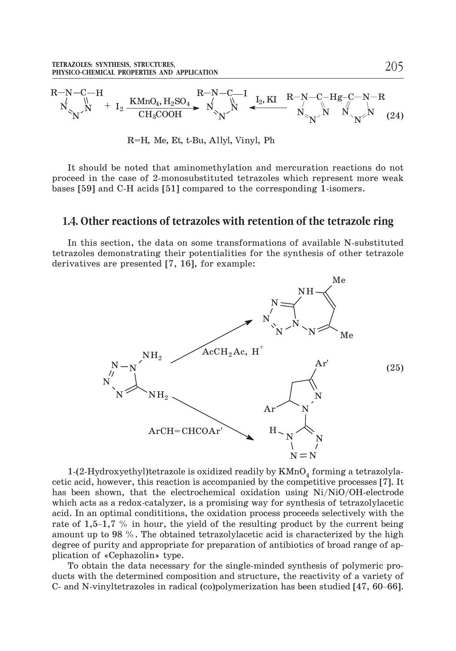

R=H, Me, Et, t-Bu, Allyl, Vinyl, Ph

It should be noted that aminomethylation and mercuration reactions do not proceed in the case of 2-monosubstituted tetrazoles which represent more weak bases [59] and C-H acids [51] compared to the corresponding 1-isomers.

## **1.4. Other reactions of tetrazoles with retention of the tetrazole ring**

In this section, the data on some transformations of available N-substituted tetrazoles demonstrating their potentialities for the synthesis of other tetrazole derivatives are presented [7, 16], for example:



1-(2-Hydroxyethyl)tetrazole is oxidized readily by  $KMnO_4$  forming a tetrazolyla-<br>cetic acid, however, this reaction is accompanied by the competitive processes [7]. It<br>has been shown, that the electrochemical oxidation cetic acid, however, this reaction is accompanied by the competitive processes [7]. It has been shown, that the electrochemical oxidation using Ni/NiO/OH-electrode which acts as a redox-catalyzer, is a promising way for synthesis of tetrazolylacetic acid. In an optimal condititions, the oxidation process proceeds selectively with the amount up to 98 %. The obtained tetrazolylacetic acid is characterized by the high degree of purity and appropriate for preparation of antibiotics of broad range of application of «Cephazolin» type. The of 1,9–1,1–7% of metal, the yield of the resulting product by the entriest senigre amount up to 98 %. The obtained tetrazolylacetic acid is characterized by the high degree of purity and appropriate for preparation of

To obtain the data necessary for the single-minded synthesis of polymeric products with the determined composition and structure, the reactivity of a variety of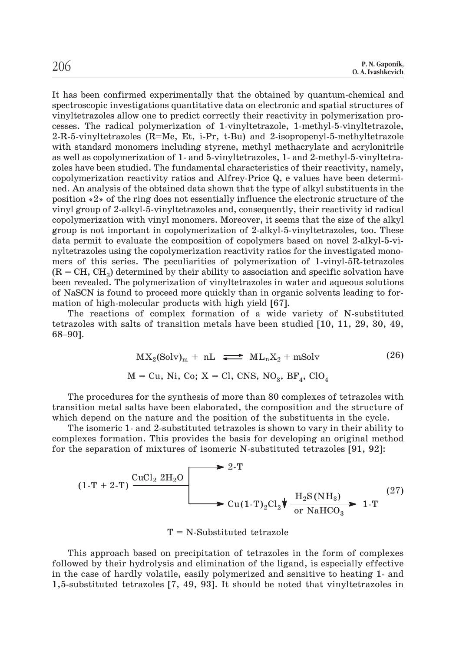It has been confirmed experimentally that the obtained by quantum-chemical and spectroscopic investigations quantitative data on electronic and spatial structures of vinyltetrazoles allow one to predict correctly their reactivity in polymerization processes. The radical polymerization of 1-vinyltetrazole, 1-methyl-5-vinyltetrazole, 2-R-5-vinyltetrazoles (R=Me, Et, i-Pr, t-Bu) and 2-isopropenyl-5-methyltetrazole with standard monomers including styrene, methyl methacrylate and acrylonitrile as well as copolymerization of 1- and 5-vinyltetrazoles, 1- and 2-methyl-5-vinyltetrazoles have been studied. The fundamental characteristics of their reactivity, namely, copolymerization reactivity ratios and Alfrey-Price Q, e values have been determined. An analysis of the obtained data shown that the type of alkyl substituents in the position «2» of the ring does not essentially influence the electronic structure of the vinyl group of 2-alkyl-5-vinyltetrazoles and, consequently, their reactivity id radical copolymerization with vinyl monomers. Moreover, it seems that the size of the alkyl group is not important in copolymerization of 2-alkyl-5-vinyltetrazoles, too. These data permit to evaluate the composition of copolymers based on novel 2-alkyl-5-vinyltetrazoles using the copolymerization reactivity ratios for the investigated monomers of this series. The peculiarities of polymerization of 1-vinyl-5R-tetrazoles  $(R = CH, CH<sub>2</sub>)$  determined by their ability to association and specific solvation have been revealed. The polymerization of vinyltetrazoles in water and aqueous solutions of NaSCN is found to proceed more quickly than in organic solvents leading to for-<br>mation of high-molecular products with high yield [67]. of NaSCN is found to proceed more quickly than in organic solvents leading to formation of high-molecular products with high yield [67].

The reactions of complex formation of a wide variety of N-substituted tetrazoles with salts of transition metals have been studied [10, 11, 29, 30, 49,

$$
MX2(Solv)m + nL \implies MLnX2 + mSolv \t(26)
$$
  

$$
M = Cu, Ni, Co; X = Cl, CMS, NO3, BF4, ClO4
$$

The procedures for the synthesis of more than 80 complexes of tetrazoles with transition metal salts have been elaborated, the composition and the structure of which depend on the nature and the position of the substituents in the cycle.

The isomeric 1- and 2-substituted tetrazoles is shown to vary in their ability to complexes formation. This provides the basis for developing an original method for the separation of mixtures of isomeric N-substituted tetrazoles [91, 92]:

$$
(1-T + 2-T) \frac{\text{CuCl}_2 2\text{H}_2\text{O}}{\leftarrow} \xrightarrow{\text{Cu}(1-T)_2\text{Cl}_2} \sqrt{\frac{\text{H}_2\text{S(NH}_3)}{\text{or NaHCO}_3}} \xrightarrow{1-T} \xrightarrow{(27)}
$$

 $T = N-Substituted tetrazole$ 

This approach based on precipitation of tetrazoles in the form of complexes followed by their hydrolysis and elimination of the ligand, is especially effective in the case of hardly volatile, easily polymerized and sensitive to heating 1- and 1,5-substituted tetrazoles [7, 49, 93]. It should be noted that vinyltetrazoles in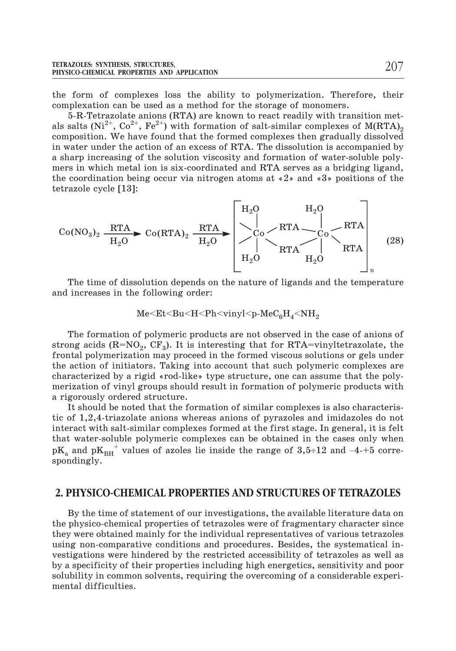the form of complexes loss the ability to polymerization. Therefore, their complexation can be used as a method for the storage of monomers.

5-R-Tetrazolate anions (RTA) are known to react readily with transition metals salts (Ni<sup>2+</sup>, Co<sup>2+</sup>, Fe<sup>2+</sup>) with formation of salt-similar complexes of M(RTA)<sub>2</sub> composition. We have found that the formed complexes then gradually dissolved in water under the action of an excess of RTA. The dissolution is accompanied by a sharp increasing of the solution viscosity and formation of water-soluble polymers in which metal ion is six-coordinated and RTA serves as a bridging ligand, the coordination being occur via nitrogen atoms at «2» and «3» positions of the tetrazole cycle [13]:

$$
\text{Co}(\text{NO}_3)_2 \xrightarrow{\text{RTA}} \text{Co}(\text{RTA})_2 \xrightarrow{\text{RTA}} \begin{bmatrix} H_2O & H_2O \\ | \\ \searrow 0 & \text{RTA} \\ | \\ H_2O & H_2O \end{bmatrix} \xrightarrow{\text{RTA}} \begin{bmatrix} H_2O & H_2O \\ | \\ \searrow 0 & \text{RTA} \\ H_2O & H_2O \end{bmatrix} \xrightarrow{\text{RTA}} (28)
$$

The time of dissolution depends on the nature of ligands and the temperature and increases in the following order:

$$
Me\hspace{-0.08cm}<\hspace{-0.08cm}Et\hspace{-0.08cm}<\hspace{-0.08cm}Bu\hspace{-0.08cm}<\hspace{-0.08cm}H\hspace{-0.08cm}<\hspace{-0.08cm}Ph\hspace{-0.08cm}<\hspace{-0.08cm}vinyl\hspace{-0.08cm}<\hspace{-0.08cm}p\hspace{-0.08cm}\cdot\hspace{-0.08cm}MeC_6H_4\hspace{-0.08cm}<\hspace{-0.08cm}NH_2
$$

The formation of polymeric products are not observed in the case of anions of strong acids  $(R=NO_2, CF_3)$ . It is interesting that for RTA=vinyltetrazolate, the frontal polymerization may proceed in the formed viscous solutions or gels under the action of initiators. Taking into account that such polymeric complexes are characterized by a rigid «rod-like» type structure, one can assume that the polymerization of vinyl groups should result in formation of polymeric products with a rigorously ordered structure.

It should be noted that the formation of similar complexes is also characteristic of 1,2,4-triazolate anions whereas anions of pyrazoles and imidazoles do not interact with salt-similar complexes formed at the first stage. In general, it is felt that water-soluble polymeric complexes can be obtained in the cases only when a rigorously ordered structure.<br>
It should be noted that the formation of similar complexes is also characteris-<br>
tic of 1,2,4-triazolate anions whereas anions of pyrazoles and imidazoles do not<br>
interact with salt-simila spondingly.

#### **2. PHYSICO-CHEMICAL PROPERTIES AND STRUCTURES OF TETRAZOLES**

By the time of statement of our investigations, the available literature data on the physico-chemical properties of tetrazoles were of fragmentary character since they were obtained mainly for the individual representatives of various tetrazoles using non-comparative conditions and procedures. Besides, the systematical investigations were hindered by the restricted accessibility of tetrazoles as well as by a specificity of their properties including high energetics, sensitivity and poor solubility in common solvents, requiring the overcoming of a considerable experimental difficulties.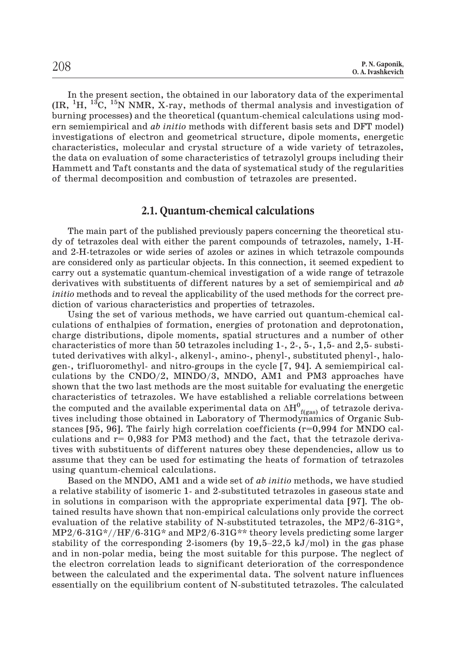In the present section, the obtained in our laboratory data of the experimental  $\rm (IR,~^{1}H,~^{13}C,~^{15}N$  NMR, X-ray, methods of thermal analysis and investigation of burning processes) and the theoretical (quantum-chemical calculations using modern semiempirical and *ab initio* methods with different basis sets and DFT model) investigations of electron and geometrical structure, dipole moments, energetic characteristics, molecular and crystal structure of a wide variety of tetrazoles, the data on evaluation of some characteristics of tetrazolyl groups including their Hammett and Taft constants and the data of systematical study of the regularities of thermal decomposition and combustion of tetrazoles are presented.

#### **2.1. Quantum-chemical calculations**

The main part of the published previously papers concerning the theoretical study of tetrazoles deal with either the parent compounds of tetrazoles, namely, 1-Hand 2-H-tetrazoles or wide series of azoles or azines in which tetrazole compounds are considered only as particular objects. In this connection, it seemed expedient to carry out a systematic quantum-chemical investigation of a wide range of tetrazole derivatives with substituents of different natures by a set of semiempirical and *ab initio* methods and to reveal the applicability of the used methods for the correct prediction of various characteristics and properties of tetrazoles.

Using the set of various methods, we have carried out quantum-chemical calculations of enthalpies of formation, energies of protonation and deprotonation, charge distributions, dipole moments, spatial structures and a number of other characteristics of more than 50 tetrazoles including 1-, 2-, 5-, 1,5- and 2,5- substituted derivatives with alkyl-, alkenyl-, amino-, phenyl-, substituted phenyl-, halogen-, trifluoromethyl- and nitro-groups in the cycle [7, 94]. A semiempirical calculations by the CNDO/2, MINDO/3, MNDO, AM1 and PM3 approaches have shown that the two last methods are the most suitable for evaluating the energetic characteristics of tetrazoles. We have established a reliable correlations between the computed and the available experimental data on  $\Delta H^0_{\ \, \rm f(gas)}$  of tetrazole derivatives including those obtained in Laboratory of Thermodynamics of Organic Substances [95, 96]. The fairly high correlation coefficients (r=0,994 for MNDO calculations and  $r= 0.983$  for PM3 method) and the fact, that the tetrazole derivatives with substituents of different natures obey these dependencies, allow us to assume that they can be used for estimating the heats of formation of tetrazoles using quantum-chemical calculations.

Based on the MNDO, AM1 and a wide set of *ab initio* methods, we have studied a relative stability of isomeric 1- and 2-substituted tetrazoles in gaseous state and in solutions in comparison with the appropriate experimental data [97]. The obtained results have shown that non-empirical calculations only provide the correct evaluation of the relative stability of N-substituted tetrazoles, the MP2/6-31G\*,  $\rm MP2/6$ - $\rm 31G*//HF/6$ - $\rm 31G*$  and  $\rm MP2/6$ - $\rm 31G*$  theory levels predicting some larger stability of isomeric 1- and 2-substituted tetrazoles in gaseous state and<br>in solutions in comparison with the appropriate experimental data [97]. The ob-<br>tained results have shown that non-empirical calculations only pro and in non-polar media, being the most suitable for this purpose. The neglect of the electron correlation leads to significant deterioration of the correspondence between the calculated and the experimental data. The solvent nature influences essentially on the equilibrium content of N-substituted tetrazoles. The calculated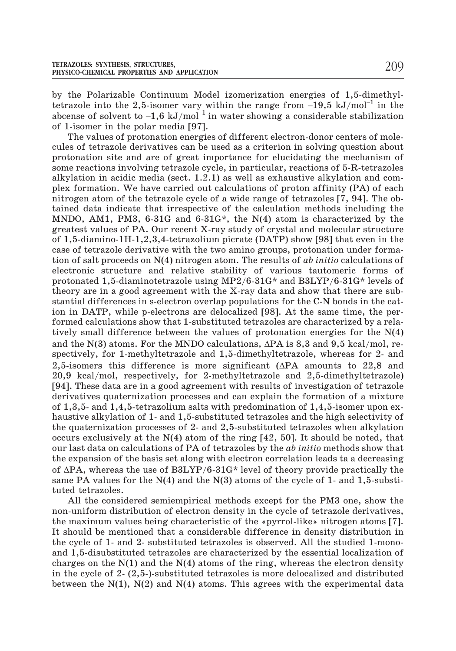by the Polarizable Continuum Model izomerization energies of 1,5-dimethyl-TETRAZOLES: SYNTHESIS, STRUCTURES,<br>
PHYSICO-CHEMICAL PROPERTIES AND APPLICATION<br>
by the Polarizable Continuum Model izomerization energies of 1,5-dimethyl-<br>
tetrazole into the 2,5-isomer vary within the range from –19,5 k abcense of solvent to  $-1.6 \text{ kJ/mol}^{-1}$  in water showing a considerable stabilization of 1-isomer in the polar media [97].

The values of protonation energies of different electron-donor centers of molecules of tetrazole derivatives can be used as a criterion in solving question about protonation site and are of great importance for elucidating the mechanism of some reactions involving tetrazole cycle, in particular, reactions of 5-R-tetrazoles alkylation in acidic media (sect. 1.2.1) as well as exhaustive alkylation and complex formation. We have carried out calculations of proton affinity (PA) of each nitrogen atom of the tetrazole cycle of a wide range of tetrazoles [7, 94]. The obtained data indicate that irrespective of the calculation methods including the MNDO, AM1, PM3,  $6-31G$  and  $6-31G^*$ , the N(4) atom is characterized by the greatest values of PA. Our recent X-ray study of crystal and molecular structure of 1,5-diamino-1H-1,2,3,4-tetrazolium picrate (DATP) show [98] that even in the case of tetrazole derivative with the two amino groups, protonation under formation of salt proceeds on N(4) nitrogen atom. The results of *ab initio* calculations of electronic structure and relative stability of various tautomeric forms of protonated 1,5-diaminotetrazole using MP2/6-31G\* and B3LYP/6-31G\* levels of theory are in a good agreement with the X-ray data and show that there are substantial differences in s-electron overlap populations for the C-N bonds in the cation in DATP, while p-electrons are delocalized [98]. At the same time, the performed calculations show that 1-substituted tetrazoles are characterized by a relatively small difference between the values of protonation energies for the N(4) and the N(3) atoms. For the MNDO calculations,  $\Delta PA$  is 8,3 and 9,5 kcal/mol, respectively, for 1-methyltetrazole and 1,5-dimethyltetrazole, whereas for 2- and 2,5-isomers this difference is more significant ( $\Delta PA$  amounts to 22,8 and 20,9 kcal/mol, respectively, for 2-methyltetrazole and 2,5-dimethyltetrazole) [94]. These data are in a good agreement with results of investigation of tetrazole derivatives quaternization processes and can explain the formation of a mixture of 1,3,5- and 1,4,5-tetrazolium salts with predomination of 1,4,5-isomer upon exhaustive alkylation of 1- and 1,5-substituted tetrazoles and the high selectivity of the quaternization processes of 2- and 2,5-substituted tetrazoles when alkylation occurs exclusively at the N(4) atom of the ring [42, 50]. It should be noted, that our last data on calculations of PA of tetrazoles by the *ab initio* methods show that the expansion of the basis set along with electron correlation leads ta a decreasing of  $\Delta$ PA, whereas the use of B3LYP/6-31G\* level of theory provide practically the same PA values for the  $N(4)$  and the  $N(3)$  atoms of the cycle of 1- and 1,5-substituted tetrazoles.

All the considered semiempirical methods except for the PM3 one, show the non-uniform distribution of electron density in the cycle of tetrazole derivatives, the maximum values being characteristic of the «pyrrol-like» nitrogen atoms [7]. It should be mentioned that a considerable difference in density distribution in the cycle of 1- and 2- substituted tetrazoles is observed. All the studied 1-monoand 1,5-disubstituted tetrazoles are characterized by the essential localization of charges on the  $N(1)$  and the  $N(4)$  atoms of the ring, whereas the electron density in the cycle of 2- (2,5-)-substituted tetrazoles is more delocalized and distributed between the  $N(1)$ ,  $N(2)$  and  $N(4)$  atoms. This agrees with the experimental data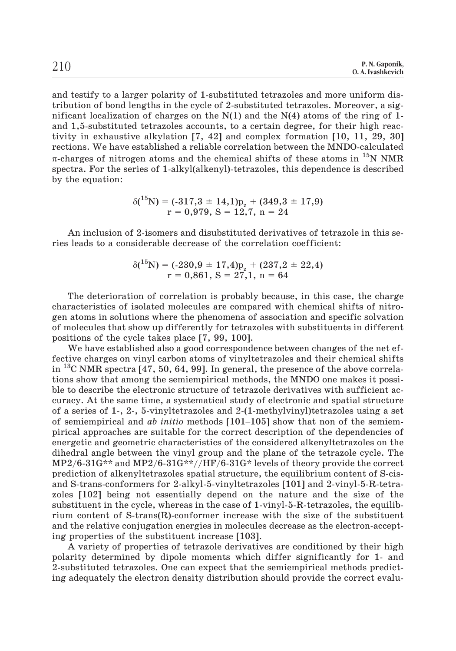and testify to a larger polarity of 1-substituted tetrazoles and more uniform distribution of bond lengths in the cycle of 2-substituted tetrazoles. Moreover, a significant localization of charges on the  $N(1)$  and the  $N(4)$  atoms of the ring of 1and 1,5-substituted tetrazoles accounts, to a certain degree, for their high reactivity in exhaustive alkylation [7, 42] and complex formation [10, 11, 29, 30] rections. We have established a reliable correlation between the MNDO-calculated  $\pi$ -charges of nitrogen atoms and the chemical shifts of these atoms in  $^{15}N$  NMR spectra. For the series of 1-alkyl(alkenyl)-tetrazoles, this dependence is described by the equation:

$$
\delta(^{15}N) = (-317, 3 \pm 14, 1)p_{\alpha} + (349, 3 \pm 17, 9)
$$
  
r = 0,979, S = 12,7, n = 24

An inclusion of 2-isomers and disubstituted derivatives of tetrazole in this series leads to a considerable decrease of the correlation coefficient:

$$
\delta(^{15}N) = (-230.9 \pm 17.4)p_{z} + (237.2 \pm 22.4)
$$
  
r = 0.861, S = 27.1, n = 64

The deterioration of correlation is probably because, in this case, the charge characteristics of isolated molecules are compared with chemical shifts of nitrogen atoms in solutions where the phenomena of association and specific solvation of molecules that show up differently for tetrazoles with substituents in different positions of the cycle takes place [7, 99, 100].

We have established also a good correspondence between changes of the net effective charges on vinyl carbon atoms of vinyltetrazoles and their chemical shifts in <sup>13</sup>C NMR spectra [47, 50, 64, 99]. In general, the presence of the above correlations show that among the semiempirical methods, the MNDO one makes it possible to describe the electronic structure of tetrazole derivati tions show that among the semiempirical methods, the MNDO one makes it possible to describe the electronic structure of tetrazole derivatives with sufficient accuracy. At the same time, a systematical study of electronic and spatial structure of a series of 1-, 2-, 5-vinyltetrazoles and 2-(1-methylvinyl)tetrazoles using a set pirical approaches are suitable for the correct description of the dependencies of energetic and geometric characteristics of the considered alkenyltetrazoles on the dihedral angle between the vinyl group and the plane of the tetrazole cycle. The MP2/6-31G\*\* and MP2/6-31G\*\*//HF/6-31G\* levels of theory provide the correct prediction of alkenyltetrazoles spatial structure, the equilibrium content of S-cisand S-trans-conformers for 2-alkyl-5-vinyltetrazoles [101] and 2-vinyl-5-R-tetrazoles [102] being not essentially depend on the nature and the size of the substituent in the cycle, whereas in the case of 1-vinyl-5-R-tetrazoles, the equilibrium content of  $S\text{-trans}(R)$ -conformer increase with the size of the substituent and the relative conjugation energies in molecules decrease as the electron-accepting properties of the substituent increase [103].

A variety of properties of tetrazole derivatives are conditioned by their high polarity determined by dipole moments which differ significantly for 1- and 2-substituted tetrazoles. One can expect that the semiempirical methods predicting adequately the electron density distribution should provide the correct evalu-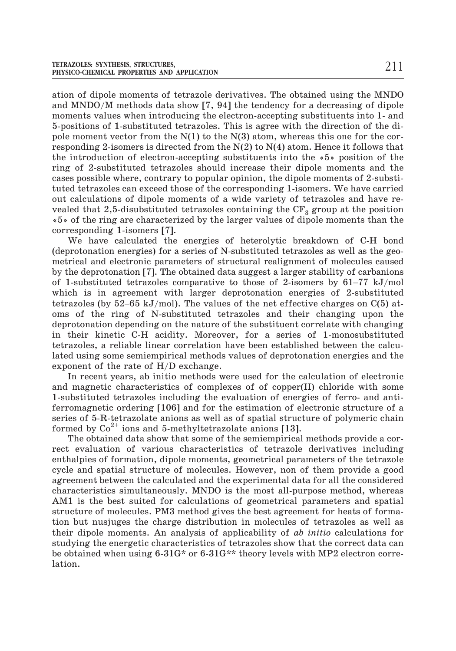ation of dipole moments of tetrazole derivatives. The obtained using the MNDO and MNDO/M methods data show [7, 94] the tendency for a decreasing of dipole moments values when introducing the electron-accepting substituents into 1- and 5-positions of 1-substituted tetrazoles. This is agree with the direction of the dipole moment vector from the  $N(1)$  to the  $N(3)$  atom, whereas this one for the corresponding 2-isomers is directed from the  $N(2)$  to  $N(4)$  atom. Hence it follows that the introduction of electron-accepting substituents into the «5» position of the ring of 2-substituted tetrazoles should increase their dipole moments and the cases possible where, contrary to popular opinion, the dipole moments of 2-substituted tetrazoles can exceed those of the corresponding 1-isomers. We have carried out calculations of dipole moments of a wide variety of tetrazoles and have revealed that 2,5-disubstituted tetrazoles containing the  $CF_3$  group at the position «5» of the ring are characterized by the larger values of dipole moments than the corresponding 1-isomers [7].

We have calculated the energies of heterolytic breakdown of C-H bond (deprotonation energies) for a series of N-substituted tetrazoles as well as the geometrical and electronic parameters of structural realignment of molecules caused by the deprotonation [7]. The obtained data suggest a larger stability of carbanions corresponding 1-isomers [7].<br>
We have calculated the energies of heterolytic breakdown of C-H bond<br>
(deprotonation energies) for a series of N-substituted tetrazoles as well as the geo-<br>
metrical and electronic parameters which is in agreement with larger deprotonation energies of 2-substituted (deprotonation energies) for a series of N-substituted tetrazoles as well as the geo-<br>metrical and electronic parameters of structural realignment of molecules caused<br>by the deprotonation [7]. The obtained data suggest a oms of the ring of N-substituted tetrazoles and their changing upon the deprotonation depending on the nature of the substituent correlate with changing in their kinetic C-H acidity. Moreover, for a series of 1-monosubstituted tetrazoles, a reliable linear correlation have been established between the calculated using some semiempirical methods values of deprotonation energies and the exponent of the rate of H/D exchange.

In recent years, ab initio methods were used for the calculation of electronic and magnetic characteristics of complexes of of copper(II) chloride with some 1-substituted tetrazoles including the evaluation of energies of ferro- and antiferromagnetic ordering [106] and for the estimation of electronic structure of a series of 5-R-tetrazolate anions as well as of spatial structure of polymeric chain formed by  $Co^{2+}$  ions and 5-methyltetrazolate anions [13].

The obtained data show that some of the semiempirical methods provide a correct evaluation of various characteristics of tetrazole derivatives including enthalpies of formation, dipole moments, geometrical parameters of the tetrazole cycle and spatial structure of molecules. However, non of them provide a good agreement between the calculated and the experimental data for all the considered characteristics simultaneously. MNDO is the most all-purpose method, whereas AM1 is the best suited for calculations of geometrical parameters and spatial structure of molecules. PM3 method gives the best agreement for heats of formation but nusjuges the charge distribution in molecules of tetrazoles as well as their dipole moments. An analysis of applicability of *ab initio* calculations for studying the energetic characteristics of tetrazoles show that the correct data can be obtained when using 6-31G\* or 6-31G\*\* theory levels with MP2 electron correlation.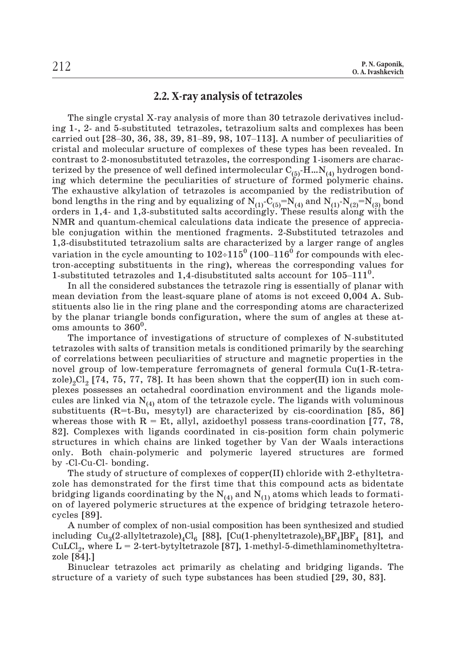# **2.2. X-ray analysis of tetrazoles**

The single crystal X-ray analysis of more than 30 tetrazole derivatives including 1-, 2- and 5-substituted tetrazoles, tetrazolium salts and complexes has been **2.2. X-ray analysis of tetrazoles**<br>The single crystal X-ray analysis of more than 30 tetrazole derivatives includ-<br>ing 1-, 2- and 5-substituted tetrazoles, tetrazolium salts and complexes has been<br>carried out [28–30, 36, cristal and molecular sructure of complexes of these types has been revealed. In contrast to 2-monosubstituted tetrazoles, the corresponding 1-isomers are characterized by the presence of well defined intermolecular  $C_{(5)}$ -H... $N_{(4)}$  hydrogen bonding which determine the peculiarities of structure of formed polymeric chains. The exhaustive alkylation of tetrazoles is accompanied by the redistribution of bond lengths in the ring and by equalizing of  $\rm N_{(1)}\text{-}C_{(5)}\text{=}N_{(4)}$  and  $\rm N_{(1)}\text{-}N_{(2)}\text{=}N_{(3)}$  bond orders in 1,4- and 1,3-substituted salts accordingly. These results along with the NMR and quantum-chemical calculations data indicate the presence of appreciable conjugation within the mentioned fragments. 2-Substituted tetrazoles and 1,3-disubstituted tetrazolium salts are characterized by a larger range of angles bond lengths in the ring and by equalizing of  $N_{(1)}-C_{(5)}=N_{(4)}$  and  $N_{(1)}-N_{(2)}=N_{(3)}$  bond orders in 1,4- and 1,3-substituted salts accordingly. These results along with the NMR and quantum-chemical calculations data tron-accepting substituents in the ring), whereas the corresponding values for variation in the cycle amounting to  $102\div 115^0$  (100–116<sup>0</sup> for compounds with elec-1-substituted tetrazoles and 1,4-disubstituted salts account for  $105-111^0$ .

In all the considered substances the tetrazole ring is essentially of planar with mean deviation from the least-square plane of atoms is not exceed 0,004 A. Substituents also lie in the ring plane and the corresponding atoms are characterized by the planar triangle bonds configuration, where the sum of angles at these atoms amounts to  $360^0$ .

The importance of investigations of structure of complexes of N-substituted tetrazoles with salts of transition metals is conditioned primarily by the searching of correlations between peculiarities of structure and magnetic properties in the novel group of low-temperature ferromagnets of general formula Cu(1-R-tetrazole)<sub>2</sub>Cl<sub>2</sub> [74, 75, 77, 78]. It has been shown that the copper(II) ion in such complexes possesses an octahedral coordination environment and the ligands molecules are linked via  $N_{(4)}$  atom of the tetrazole cycle. The ligands with voluminous substituents  $(R=t-Bu,$  mesytyl) are characterized by cis-coordination [85, 86] whereas those with  $R = Et$ , allyl, azidoethyl possess trans-coordination [77, 78, 82]. Complexes with ligands coordinated in cis-position form chain polymeric structures in which chains are linked together by Van der Waals interactions only. Both chain-polymeric and polymeric layered structures are formed by -Cl-Cu-Cl- bonding.

The study of structure of complexes of copper(II) chloride with 2-ethyltetrazole has demonstrated for the first time that this compound acts as bidentate bridging ligands coordinating by the  $N_{(4)}$  and  $N_{(1)}$  atoms which leads to formation of layered polymeric structures at the expence of bridging tetrazole heterocycles [89].

A number of complex of non-usial composition has been synthesized and studied including Cu<sub>3</sub>(2-allyltetrazole)<sub>4</sub>Cl<sub>6</sub> [88], [Cu(1-phenyltetrazole)<sub>5</sub>BF<sub>4</sub>]BF<sub>4</sub> [81], and CuLCl<sub>2</sub>, where  $L = 2$ -tert-bytyltetrazole [87], 1-methyl-5-dimethlaminomethyltetrazole [84].]

Binuclear tetrazoles act primarily as chelating and bridging ligands. The structure of a variety of such type substances has been studied [29, 30, 83].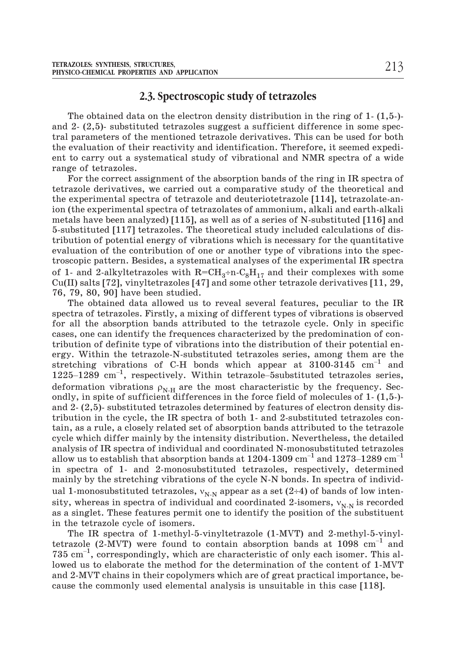## **2.3. Spectroscopic study of tetrazoles**

The obtained data on the electron density distribution in the ring of 1- (1,5-) and 2- (2,5)- substituted tetrazoles suggest a sufficient difference in some spectral parameters of the mentioned tetrazole derivatives. This can be used for both the evaluation of their reactivity and identification. Therefore, it seemed expedient to carry out a systematical study of vibrational and NMR spectra of a wide range of tetrazoles.

For the correct assignment of the absorption bands of the ring in IR spectra of tetrazole derivatives, we carried out a comparative study of the theoretical and the experimental spectra of tetrazole and deuteriotetrazole [114], tetrazolate-anion (the experimental spectra of tetrazolates of ammonium, alkali and earth-alkali metals have been analyzed) [115], as well as of a series of N-substituted [116] and 5-substituted [117] tetrazoles. The theoretical study included calculations of distribution of potential energy of vibrations which is necessary for the quantitative evaluation of the contribution of one or another type of vibrations into the spectroscopic pattern. Besides, a systematical analyses of the experimental IR spectra of 1- and 2-alkyltetrazoles with  $R=CH_3+n-C_8H_{17}$  and their complexes with some Cu(II) salts [72], vinyltetrazoles [47] and some other tetrazole derivatives [11, 29, 76, 79, 80, 90] have been studied.

The obtained data allowed us to reveal several features, peculiar to the IR spectra of tetrazoles. Firstly, a mixing of different types of vibrations is observed for all the absorption bands attributed to the tetrazole cycle. Only in specific cases, one can identify the frequences characterized by the predomination of contribution of definite type of vibrations into the distribution of their potential energy. Within the tetrazole-N-substituted tetrazoles series, among them are the stretching vibrations of C-H bonds which appear at  $3100-3145$  cm<sup>-1</sup> and spectra of centrazoles. Firstly, a mixing of different types of vibrations is observed<br>for all the absorption bands attributed to the tetrazole cycle. Only in specific<br>cases, one can identify the frequences characterized deformation vibrations  $\rho_{N,H}$  are the most characteristic by the frequency. Secondly, in spite of sufficient differences in the force field of molecules of 1- (1,5-) and 2- (2,5)- substituted tetrazoles determined by features of electron density distribution in the cycle, the IR spectra of both 1- and 2-substituted tetrazoles contain, as a rule, a closely related set of absorption bands attributed to the tetrazole cycle which differ mainly by the intensity distribution. Nevertheless, the detailed analysis of IR spectra of individual and coordinated N-monosubstituted tetrazoles allow us to establish that absorption bands at  $1204-1309$   $\mathrm{cm}^{-1}$  and  $1273-1289$   $\mathrm{cm}^{-1}$ in spectra of 1- and 2-monosubstituted tetrazoles, respectively, determined mainly by the stretching vibrations of the cycle N-N bonds. In spectra of individual 1-monosubstituted tetrazoles,  $v_{N-N}$  appear as a set (2÷4) of bands of low intensity, whereas in spectra of individual and coordinated 2-isomers,  $v_{N-N}$  is recorded<br>as a singlet. These features permit one to identify the position of the substituent<br>in the tetrazole cycle of isomers.<br>The IR spectra o as a singlet. These features permit one to identify the position of the substituent in the tetrazole cycle of isomers.

The IR spectra of 1-methyl-5-vinyltetrazole (1-MVT) and 2-methyl-5-vinyltetrazole (2-MVT) were found to contain absorption bands at  $1098 \text{ cm}^{-1}$  and  $735 \text{ cm}^{-1}$ , correspondingly, which are characteristic of only each isomer. This allowed us to elaborate the method for the determination of the content of 1-MVT and 2-MVT chains in their copolymers which are of great practical importance, because the commonly used elemental analysis is unsuitable in this case [118].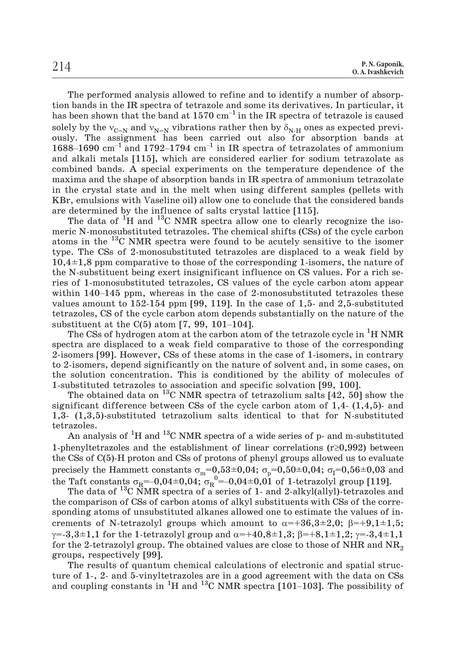The performed analysis allowed to refine and to identify a number of absorption bands in the IR spectra of tetrazole and some its derivatives. In particular, it P.N.Gaponik,<br>
0.A.Ivashkevich<br>
The performed analysis allowed to refine and to identify a number of absorp-<br>
tion bands in the IR spectra of tetrazole and some its derivatives. In particular, it<br>
has been shown that the b solely by the  $v_{C=N}$  and  $v_{N=N}$  vibrations rather then by  $\delta_{N-H}$  ones as expected previously. The assignment has been carried out also for absorption bands at The performed analysis allowed to refine and to identify a number of absorp-<br>tion bands in the IR spectra of tetrazole and some its derivatives. In particular, it<br>has been shown that the band at 1570 cm<sup>-1</sup> in the IR spec and alkali metals [115], which are considered earlier for sodium tetrazolate as combined bands. A special experiments on the temperature dependence of the maxima and the shape of absorption bands in IR spectra of ammonium tetrazolate in the crystal state and in the melt when using different samples (pellets with KBr, emulsions with Vaseline oil) allow one to conclude that the considered bands are determined by the influence of salts crystal lattice [115].

The data of  ${}^{1}H$  and  ${}^{13}C$  NMR spectra allow one to clearly recognize the isomeric N-monosubstituted tetrazoles. The chemical shifts (CSs) of the cycle carbon atoms in the <sup>13</sup>C NMR spectra were found to be acutely sensitive to the isomer type. The CSs of 2-monosubstituted tetrazoles are displaced to a weak field by  $10,4\pm1,8$  ppm comparative to those of the corresponding 1-is type. The CSs of 2-monosubstituted tetrazoles are displaced to a weak field by  $10,4\pm1,8$  ppm comparative to those of the corresponding 1-isomers, the nature of the N-substituent being exert insignificant influence on CS values. For a rich series of 1-monosubstituted tetrazoles, CS values of the cycle carbon atom appear values amount to 152-154 ppm [99, 119]. In the case of 1,5- and 2,5-substituted tetrazoles, CS of the cycle carbon atom depends substantially on the nature of the substituent being exert insignificant inf<br>the N-substituent being exert insignificant inf<br>ries of 1-monosubstituted tetrazoles, CS value<br>within 140–145 ppm, whereas in the case of 2<br>values amount to 152-154 ppm [99, 119].

The CSs of hydrogen atom at the carbon atom of the tetrazole cycle in <sup>1</sup>H NMR spectra are displaced to a weak field comparative to those of the corresponding 2-isomers [99]. However, CSs of these atoms in the case of 1-isomers, in contrary to 2-isomers, depend significantly on the nature of solvent and, in some cases, on the solution concentration. This is conditioned by the ability of molecules of 1-substituted tetrazoles to association and specific solvation [99, 100].

The obtained data on <sup>13</sup>C NMR spectra of tetrazolium salts  $[42, 50]$  show the significant difference between CSs of the cycle carbon atom of 1,4- (1,4,5)- and 1,3- (1,3,5)-substituted tetrazolium salts identical to that for N-substituted tetrazoles.

An analysis of <sup>1</sup>H and <sup>13</sup>C NMR spectra of a wide series of p- and m-substituted 1-phenyltetrazoles and the establishment of linear correlations  $(r\geq 0.992)$  between the CSs of C(5)-H proton and CSs of protons of phenyl groups allowed us to evaluate precisely the Hammett constants  $\sigma_{\rm m}{=}0,53{\pm}0,04;$   $\sigma_{\rm p}{=}0,50{\pm}0,04;$   $\sigma_{\rm I}{=}0,56{\pm}0,03$  and tetrazoles.<br>
An analysis of <sup>1</sup>H and <sup>13</sup>C NMR spectra of a wide series of p- and m-substitut<br>
1-phenyltetrazoles and the establishment of linear correlations (r≥0,992) betwe<br>
the CSs of C(5)-H proton and CSs of protons o

The data of <sup>13</sup>C NMR spectra of a series of 1- and 2-alkyl(allyl)-tetrazoles and the comparison of CSs of carbon atoms of alkyl substituents with CSs of the corresponding atoms of unsubstituted alkanes allowed one to estimate the values of increments of N-tetrazolyl groups which amount to  $\alpha = +36,3\pm 2,0; \beta = +9,1\pm 1,5;$  $\gamma = -3,3 \pm 1,1$  for the 1-tetrazolyl group and  $\alpha = +40,8 \pm 1,3$ ;  $\beta = +8,1 \pm 1,2$ ;  $\gamma = -3,4 \pm 1,1$ for the 2-tetrazolyl group. The obtained values are close to those of NHR and  $NR_{2}$ groups, respectively [99].  $\gamma$ =-3,3±1,1 for the 1-tetrazolyl group and  $\alpha$ =+40,8±1,3;  $\beta$ =+8,1±1,2;  $\gamma$ =-3,4±1,1 for the 2-tetrazolyl group. The obtained values are close to those of NHR and NR<sub>2</sub> groups, respectively [99].<br>The results of quant

The results of quantum chemical calculations of electronic and spatial structure of 1-, 2- and 5-vinyltetrazoles are in a good agreement with the data on CSs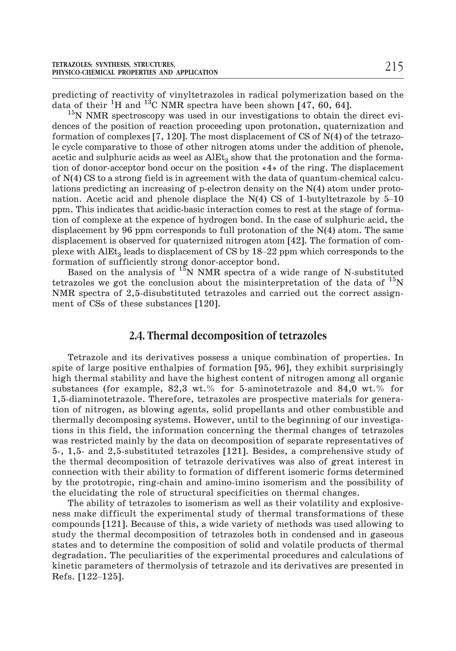predicting of reactivity of vinyltetrazoles in radical polymerization based on the data of their <sup>1</sup>H and <sup>13</sup>C NMR spectra have been shown [47, 60, 64].

 $15N NMR$  spectroscopy was used in our investigations to obtain the direct evidences of the position of reaction proceeding upon protonation, quaternization and formation of complexes  $[7, 120]$ . The most displacement of CS of N(4) of the tetrazole cycle comparative to those of other nitrogen atoms under the addition of phenole, acetic and sulphuric acids as weel as  $\mathrm{AIEt}_3$  show that the protonation and the formation of donor-acceptor bond occur on the position «4» of the ring. The displacement of N(4) CS to a strong field is in agreement with the data of quantum-chemical calculations predicting an increasing of p-electron density on the N(4) atom under protonation. Acetic acid and phenole displace the N(4) CS of 1-butyletrazole by 5–10<br>acetic and sulphuric acids as weel as AlEt<sub>3</sub> show that the protonation and the forma-<br>tion of donor-acceptor bond occur on the position  $*4*$ ppm. This indicates that acidic-basic interaction comes to rest at the stage of formation of complexe at the expence of hydrogen bond. In the case of sulphuric acid, the displacement by 96 ppm corresponds to full protonation of the N(4) atom. The same displacement is observed for quaternized nitrogen atom [42]. The formation of commation. Acetic acid and phenole displace the  $N(4)$  CS of 1-butyltetrazole by 5–10 ppm. This indicates that acidic-basic interaction comes to rest at the stage of formation of complexe at the expence of hydrogen bond. In formation of sufficiently strong donor-acceptor bond.

Based on the analysis of  $15N$  NMR spectra of a wide range of N-substituted tetrazoles we got the conclusion about the misinterpretation of the data of  $^{15}N$ NMR spectra of 2,5-disubstituted tetrazoles and carried out the correct assignment of CSs of these substances [120].

### **2.4. Thermal decomposition of tetrazoles**

Tetrazole and its derivatives possess a unique combination of properties. In spite of large positive enthalpies of formation [95, 96], they exhibit surprisingly high thermal stability and have the highest content of nitrogen among all organic substances (for example, 82,3 wt.% for 5-aminotetrazole and 84,0 wt.% for 1,5-diaminotetrazole. Therefore, tetrazoles are prospective materials for generation of nitrogen, as blowing agents, solid propellants and other combustible and thermally decomposing systems. However, until to the beginning of our investigations in this field, the information concerning the thermal changes of tetrazoles was restricted mainly by the data on decomposition of separate representatives of 5-, 1,5- and 2,5-substituted tetrazoles [121]. Besides, a comprehensive study of the thermal decomposition of tetrazole derivatives was also of great interest in connection with their ability to formation of different isomeric forms determined by the prototropic, ring-chain and amino-imino isomerism and the possibility of the elucidating the role of structural specificities on thermal changes.

The ability of tetrazoles to isomerism as well as their volatility and explosiveness make difficult the experimental study of thermal transformations of these compounds [121]. Because of this, a wide variety of methods was used allowing to study the thermal decomposition of tetrazoles both in condensed and in gaseous states and to determine the composition of solid and volatile study the thermal decomposition of tetrazoles both in condensed and in gaseous states and to determine the composition of solid and volatile products of thermal degradation. The peculiarities of the experimental procedures and calculations of kinetic parameters of thermolysis of tetrazole and its derivatives are presented in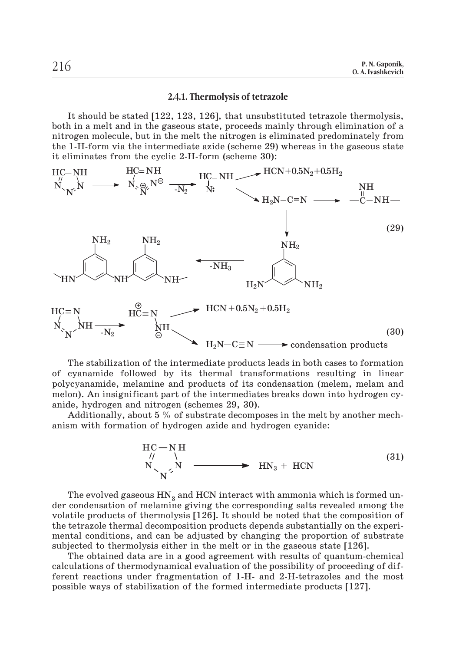#### **2.4.1. Thermolysis of tetrazole**

It should be stated [122, 123, 126], that unsubstituted tetrazole thermolysis, both in a melt and in the gaseous state, proceeds mainly through elimination of a nitrogen molecule, but in the melt the nitrogen is eliminated predominately from the 1-H-form via the intermediate azide (scheme 29) whereas in the gaseous state it eliminates from the cyclic 2-H-form (scheme 30):



The stabilization of the intermediate products leads in both cases to formation of cyanamide followed by its thermal transformations resulting in linear polycyanamide, melamine and products of its condensation (melem, melam and melon). An insignificant part of the intermediates breaks down into hydrogen cyanide, hydrogen and nitrogen (schemes 29, 30).

Additionally, about 5 % of substrate decomposes in the melt by another mechanism with formation of hydrogen azide and hydrogen cyanide:

$$
HC-NH
$$
  
\n $N$   
\n $N$   
\n $N$   
\n $N$   
\n $N$  (31)

The evolved gaseous  $HN<sub>3</sub>$  and HCN interact with ammonia which is formed under condensation of melamine giving the corresponding salts revealed among the volatile products of thermolysis [126]. It should be noted that the composition of the tetrazole thermal decomposition products depends substantially on the experimental conditions, and can be adjusted by changing the proportion of substrate subjected to thermolysis either in the melt or in the gaseous state [126].

The obtained data are in a good agreement with results of quantum-chemical calculations of thermodynamical evaluation of the possibility of proceeding of different reactions under fragmentation of 1-H- and 2-H-tetrazoles and the most possible ways of stabilization of the formed intermediate products [127].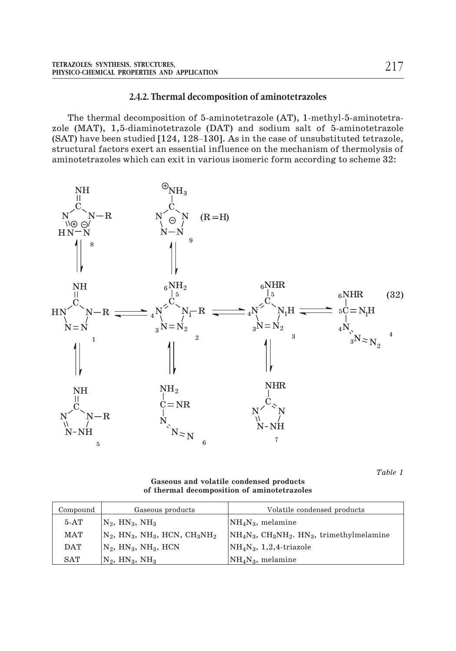#### **2.4.2. Thermal decomposition of aminotetrazoles**

The thermal decomposition of 5-aminotetrazole (AT), 1-methyl-5-aminotetrazole (MAT), 1,5-diaminotetrazole (DAT) and sodium salt of 5-aminotetrazole 2.4.2. Thermal decomposition of aminotetrazoles<br>The thermal decomposition of 5-aminotetrazole (AT), 1-methyl-5-aminotetra-<br>zole (MAT), 1,5-diaminotetrazole (DAT) and sodium salt of 5-aminotetrazole<br>(SAT) have been studied structural factors exert an essential influence on the mechanism of thermolysis of aminotetrazoles which can exit in various isomeric form according to scheme 32:



*Table 1*

**Gaseous and volatile condensed products of thermal decomposition of aminotetrazoles**

| Compound   | Gaseous products                                                                 | Volatile condensed products                                                                 |
|------------|----------------------------------------------------------------------------------|---------------------------------------------------------------------------------------------|
| $5-AT$     | $N_2$ , $HN_3$ , $NH_3$                                                          | $\rm NH_4N_3$ , melamine                                                                    |
| <b>MAT</b> | $N_2$ , HN <sub>3</sub> , NH <sub>3</sub> , HCN, CH <sub>3</sub> NH <sub>2</sub> | $\vert \text{NH}_4\text{N}_3, \text{CH}_3\text{NH}_2$ . HN <sub>3</sub> , trimethylmelamine |
| <b>DAT</b> | $N_2$ , $HN_3$ , $NH_3$ , $HCN$                                                  | $NH_4N_3$ , 1,2,4-triazole                                                                  |
| SAT        | $N_2$ , $HN_3$ , $NH_3$                                                          | $\text{NH}_4\text{N}_3$ , melamine                                                          |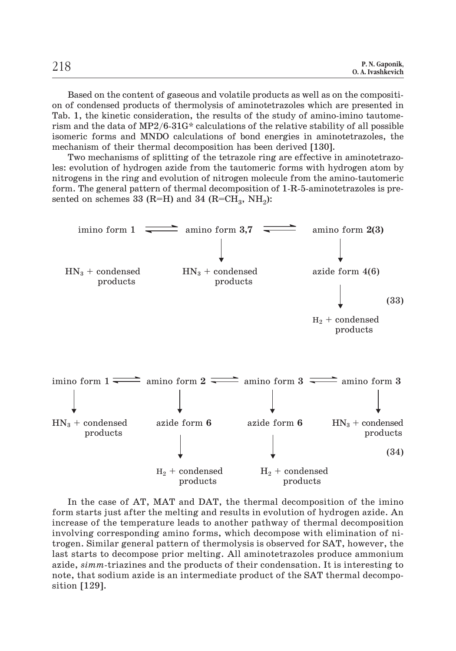Based on the content of gaseous and volatile products as well as on the composition of condensed products of thermolysis of aminotetrazoles which are presented in Tab. 1, the kinetic consideration, the results of the study of amino-imino tautomerism and the data of  $MP2/6-31G*$  calculations of the relative stability of all possible isomeric forms and MNDO calculations of bond energies in aminotetrazoles, the mechanism of their thermal decomposition has been derived [130].

Two mechanisms of splitting of the tetrazole ring are effective in aminotetrazoles: evolution of hydrogen azide from the tautomeric forms with hydrogen atom by nitrogens in the ring and evolution of nitrogen molecule from the amino-tautomeric form. The general pattern of thermal decomposition of 1-R-5-aminotetrazoles is presented on schemes 33 (R=H) and 34 (R=CH<sub>3</sub>, NH<sub>2</sub>):



In the case of AT, MAT and DAT, the thermal decomposition of the imino form starts just after the melting and results in evolution of hydrogen azide. An increase of the temperature leads to another pathway of thermal decomposition involving corresponding amino forms, which decompose with elimination of nitrogen. Similar general pattern of thermolysis is observed for SAT, however, the last starts to decompose prior melting. All aminotetrazoles produce ammonium azide, *simm*-triazines and the products of their condensation. It is interesting to note, that sodium azide is an intermediate product of the SAT thermal decomposition [129].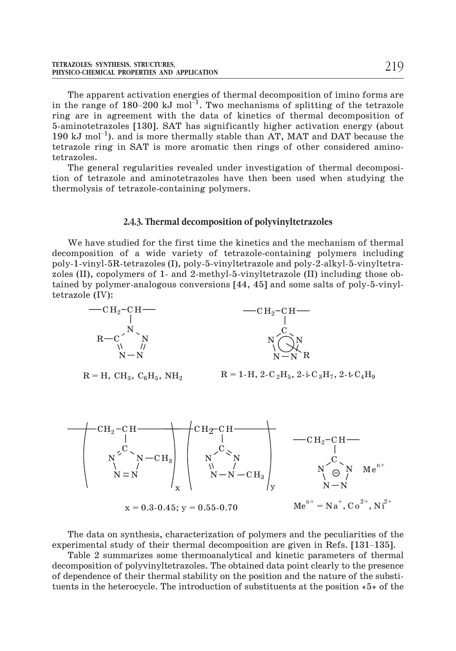The apparent activation energies of thermal decomposition of imino forms are TETRAZOLES: SYNTHESIS, STRUCTURES,<br>
PHYSICO-CHEMICAL PROPERTIES AND APPLICATION<br>
The apparent activation energies of thermal decomposition of imino forms are<br>
in the range of 180–200 kJ mol<sup>-1</sup>. Two mechanisms of splitting ring are in agreement with the data of kinetics of thermal decomposition of 5-aminotetrazoles [130]. SAT has significantly higher activation energy (about The appain<br>in the range<br>ring are in<br>5-aminotetra<br>190 kJ mol<sup>-1</sup> 190 kJ mol<sup>-1</sup>), and is more thermally stable than AT, MAT and DAT because the tetrazole ring in SAT is more aromatic then rings of other considered aminotetrazoles.

The general regularities revealed under investigation of thermal decomposition of tetrazole and aminotetrazoles have then been used when studying the thermolysis of tetrazole-containing polymers.

#### **2.4.3. Thermal decomposition of polyvinyltetrazoles**

We have studied for the first time the kinetics and the mechanism of thermal decomposition of a wide variety of tetrazole-containing polymers including poly-1-vinyl-5R-tetrazoles (I), poly-5-vinyltetrazole and poly-2-alkyl-5-vinyltetrazoles (II), copolymers of 1- and 2-methyl-5-vinyltetrazole (II) including those obtained by polymer-analogous conversions [44, 45] and some salts of poly-5-vinyltetrazole (IV):





 $R = H$ ,  $CH_3$ ,  $C_6H_5$ ,  $NH_2$   $R = 1-H$ , 2-C<sub>2</sub>H<sub>5</sub>, 2-i-C<sub>3</sub>H<sub>7</sub>, 2-t-C<sub>4</sub>H<sub>9</sub>



The data on synthesis, characterization of polymers and the peculiarities of the experimental study of their thermal decomposition are given in Refs. [131–135].

Table 2 summarizes some thermoanalytical and kinetic parameters of thermal decomposition of polyvinyltetrazoles. The obtained data point clearly to the presence of dependence of their thermal stability on the position and the nature of the substituents in the heterocycle. The introduction of substituents at the position «5» of the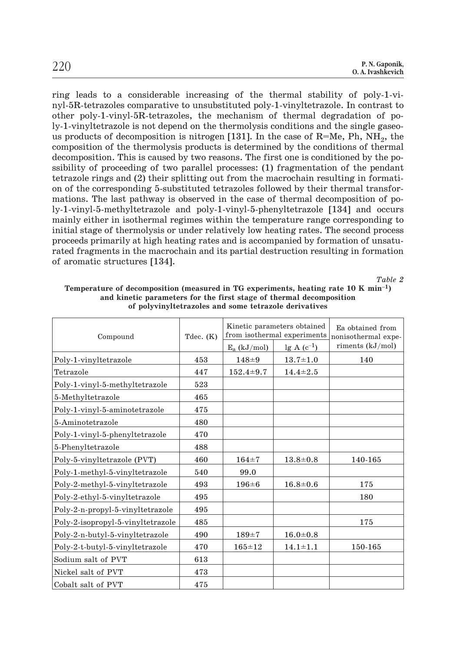ring leads to a considerable increasing of the thermal stability of poly-1-vinyl-5R-tetrazoles comparative to unsubstituted poly-1-vinyltetrazole. In contrast to other poly-1-vinyl-5R-tetrazoles, the mechanism of thermal degradation of poly-1-vinyltetrazole is not depend on the thermolysis conditions and the single gaseous products of decomposition is nitrogen [131]. In the case of  $R=Me$ , Ph, NH<sub>2</sub>, the composition of the thermolysis products is determined by the conditions of thermal decomposition. This is caused by two reasons. The first one is conditioned by the possibility of proceeding of two parallel processes: (1) fragmentation of the pendant tetrazole rings and (2) their splitting out from the macrochain resulting in formation of the corresponding 5-substituted tetrazoles followed by their thermal transformations. The last pathway is observed in the case of thermal decomposition of poly-1-vinyl-5-methyltetrazole and poly-1-vinyl-5-phenyltetrazole [134] and occurs mainly either in isothermal regimes within the temperature range corresponding to initial stage of thermolysis or under relatively low heating rates. The second process proceeds primarily at high heating rates and is accompanied by formation of unsaturated fragments in the macrochain and its partial destruction resulting in formation of aromatic structures [134].

*Table 2*

| or porvemprendence and some temazore derivances |             |                                                            |                 |                                         |  |  |  |
|-------------------------------------------------|-------------|------------------------------------------------------------|-----------------|-----------------------------------------|--|--|--|
| Compound                                        | Tdec. $(K)$ | Kinetic parameters obtained<br>from isothermal experiments |                 | Ea obtained from<br>nonisothermal expe- |  |  |  |
|                                                 |             | $E_a$ (kJ/mol)                                             | $lg A (c^{-1})$ | riments $(kJ/mol)$                      |  |  |  |
| Poly-1-vinyltetrazole                           | 453         | $148 + 9$                                                  | $13.7 \pm 1.0$  | 140                                     |  |  |  |
| Tetrazole                                       | 447         | $152.4 \pm 9.7$                                            | $14.4 \pm 2.5$  |                                         |  |  |  |
| Poly-1-vinyl-5-methyltetrazole                  | 523         |                                                            |                 |                                         |  |  |  |
| 5-Methyltetrazole                               | 465         |                                                            |                 |                                         |  |  |  |
| Poly-1-vinyl-5-aminotetrazole                   | 475         |                                                            |                 |                                         |  |  |  |
| 5-Aminotetrazole                                | 480         |                                                            |                 |                                         |  |  |  |
| Poly-1-vinyl-5-phenyltetrazole                  | 470         |                                                            |                 |                                         |  |  |  |
| 5-Phenyltetrazole                               | 488         |                                                            |                 |                                         |  |  |  |
| Poly-5-vinyltetrazole (PVT)                     | 460         | $164 = 7$                                                  | $13.8 \pm 0.8$  | 140-165                                 |  |  |  |
| Poly-1-methyl-5-vinyltetrazole                  | 540         | 99.0                                                       |                 |                                         |  |  |  |
| Poly-2-methyl-5-vinyltetrazole                  | 493         | $196 = 6$                                                  | $16.8 \pm 0.6$  | 175                                     |  |  |  |
| Poly-2-ethyl-5-vinyltetrazole                   | 495         |                                                            |                 | 180                                     |  |  |  |
| Poly-2-n-propyl-5-vinyltetrazole                | 495         |                                                            |                 |                                         |  |  |  |
| Poly-2-isopropyl-5-vinyltetrazole               | 485         |                                                            |                 | 175                                     |  |  |  |
| Poly-2-n-butyl-5-vinyltetrazole                 | 490         | $189 + 7$                                                  | $16.0 + 0.8$    |                                         |  |  |  |
| Poly-2-t-butyl-5-vinyltetrazole                 | 470         | $165 = 12$                                                 | $14.1 \pm 1.1$  | 150-165                                 |  |  |  |
| Sodium salt of PVT                              | 613         |                                                            |                 |                                         |  |  |  |
| Nickel salt of PVT                              | 473         |                                                            |                 |                                         |  |  |  |
| Cobalt salt of PVT                              | 475         |                                                            |                 |                                         |  |  |  |

**Temperature of decomposition (measured in TG experiments, heating rate 10 K min–1) and kinetic parameters for the first stage of thermal decomposition of polyvinyltetrazoles and some tetrazole derivatives**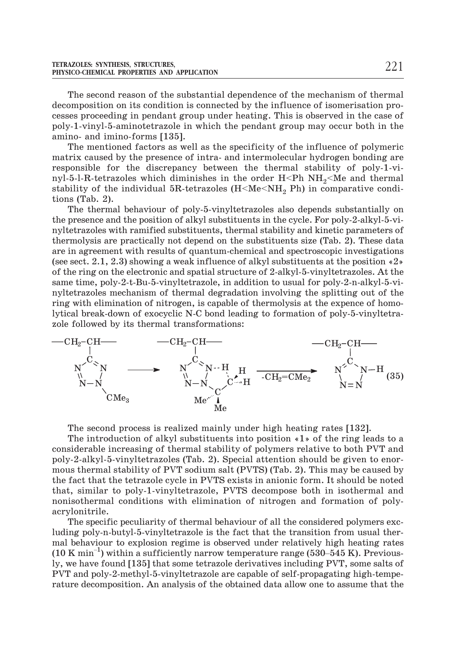The second reason of the substantial dependence of the mechanism of thermal decomposition on its condition is connected by the influence of isomerisation processes proceeding in pendant group under heating. This is observed in the case of poly-1-vinyl-5-aminotetrazole in which the pendant group may occur both in the amino- and imino-forms [135].

The mentioned factors as well as the specificity of the influence of polymeric matrix caused by the presence of intra- and intermolecular hydrogen bonding are responsible for the discrepancy between the thermal stability of poly-1-vinyl-5-l-R-tetrazoles which diminishes in the order H<Ph  $NH<sub>2</sub>$ <Me and thermal stability of the individual 5R-tetrazoles  $(H2 Ph)$  in comparative conditions (Tab. 2).

The thermal behaviour of poly-5-vinyltetrazoles also depends substantially on the presence and the position of alkyl substituents in the cycle. For poly-2-alkyl-5-vinyltetrazoles with ramified substituents, thermal stability and kinetic parameters of thermolysis are practically not depend on the substituents size (Tab. 2). These data are in agreement with results of quantum-chemical and spectroscopic investigations (see sect. 2.1, 2.3) showing a weak influence of alkyl substituents at the position «2» of the ring on the electronic and spatial structure of 2-alkyl-5-vinyltetrazoles. At the same time, poly-2-t-Bu-5-vinyltetrazole, in addition to usual for poly-2-n-alkyl-5-vinyltetrazoles mechanism of thermal degradation involving the splitting out of the ring with elimination of nitrogen, is capable of thermolysis at the expence of homolytical break-down of exocyclic N-C bond leading to formation of poly-5-vinyltetrazole followed by its thermal transformations:



The second process is realized mainly under high heating rates [132].

The introduction of alkyl substituents into position «1» of the ring leads to a considerable increasing of thermal stability of polymers relative to both PVT and poly-2-alkyl-5-vinyltetrazoles (Tab. 2). Special attention should be given to enormous thermal stability of PVT sodium salt (PVTS) (Tab. 2). This may be caused by the fact that the tetrazole cycle in PVTS exists in anionic form. It should be noted that, similar to poly-1-vinyltetrazole, PVTS decompose both in isothermal and nonisothermal conditions with elimination of nitrogen and formation of polyacrylonitrile.

The specific peculiarity of thermal behaviour of all the considered polymers excluding poly-n-butyl-5-vinyltetrazole is the fact that the transition from usual thermal behaviour to explosion regime is observed under relatively high heating rates monisothermal conditions with elimination of nitrogen and formation of poly-<br>acrylonitrile.<br>The specific peculiarity of thermal behaviour of all the considered polymers exc-<br>luding poly-n-butyl-5-vinyltetrazole is the fac ly, we have found [135] that some tetrazole derivatives including PVT, some salts of PVT and poly-2-methyl-5-vinyltetrazole are capable of self-propagating high-temperature decomposition. An analysis of the obtained data allow one to assume that the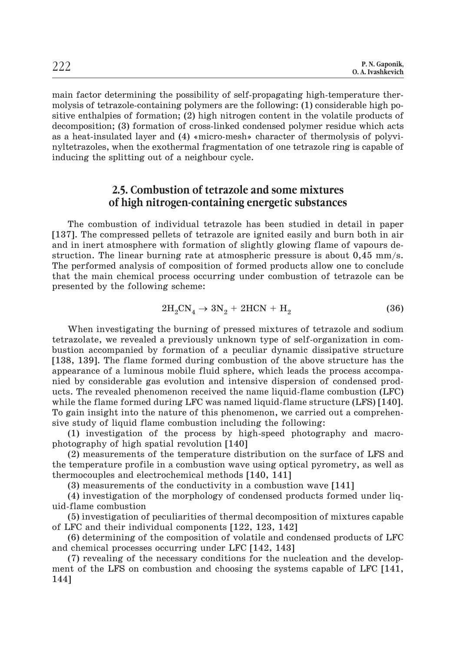main factor determining the possibility of self-propagating high-temperature thermolysis of tetrazole-containing polymers are the following: (1) considerable high positive enthalpies of formation; (2) high nitrogen content in the volatile products of decomposition; (3) formation of cross-linked condensed polymer residue which acts as a heat-insulated layer and  $(4)$  «micro-mesh» character of thermolysis of polyvinyltetrazoles, when the exothermal fragmentation of one tetrazole ring is capable of inducing the splitting out of a neighbour cycle.

# **2.5. Combustion of tetrazole and some mixtures of high nitrogen-containing energetic substances**

The combustion of individual tetrazole has been studied in detail in paper [137]. The compressed pellets of tetrazole are ignited easily and burn both in air and in inert atmosphere with formation of slightly glowing flame of vapours destruction. The linear burning rate at atmospheric pressure is about 0,45 mm/s. The performed analysis of composition of formed products allow one to conclude that the main chemical process occurring under combustion of tetrazole can be presented by the following scheme:

$$
2H_2CN_4 \rightarrow 3N_2 + 2HCN + H_2 \tag{36}
$$

When investigating the burning of pressed mixtures of tetrazole and sodium tetrazolate, we revealed a previously unknown type of self-organization in combustion accompanied by formation of a peculiar dynamic dissipative structure [138, 139]. The flame formed during combustion of the above structure has the appearance of a luminous mobile fluid sphere, which leads the process accompanied by considerable gas evolution and intensive dispersion of condensed products. The revealed phenomenon received the name liquid-flame combustion (LFC) while the flame formed during LFC was named liquid-flame structure (LFS) [140]. To gain insight into the nature of this phenomenon, we carried out a comprehensive study of liquid flame combustion including the following:

(1) investigation of the process by high-speed photography and macrophotography of high spatial revolution [140]

(2) measurements of the temperature distribution on the surface of LFS and the temperature profile in a combustion wave using optical pyrometry, as well as thermocouples and electrochemical methods [140, 141]

(3) measurements of the conductivity in a combustion wave [141]

(4) investigation of the morphology of condensed products formed under liquid-flame combustion

(5) investigation of peculiarities of thermal decomposition of mixtures capable of LFC and their individual components [122, 123, 142]

(6) determining of the composition of volatile and condensed products of LFC and chemical processes occurring under LFC [142, 143]

(7) revealing of the necessary conditions for the nucleation and the development of the LFS on combustion and choosing the systems capable of LFC [141, 144]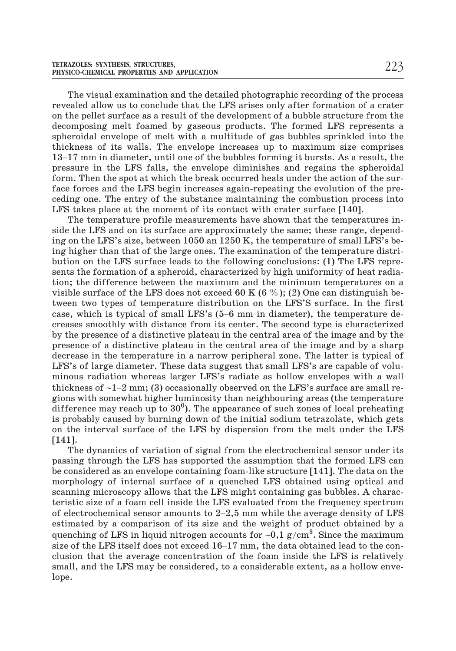The visual examination and the detailed photographic recording of the process revealed allow us to conclude that the LFS arises only after formation of a crater on the pellet surface as a result of the development of a bubble structure from the decomposing melt foamed by gaseous products. The formed LFS represents a spheroidal envelope of melt with a multitude of gas bubbles sprinkled into the thickness of its walls. The envelope increases up to maximum size comprises 112–17 mm in diameter, until one of the bubbles forming it business of the pellet surface as a result of the development of a bubble structure from the decomposing melt foamed by gaseous products. The formed LFS represents pressure in the LFS falls, the envelope diminishes and regains the spheroidal form. Then the spot at which the break occurred heals under the action of the surface forces and the LFS begin increases again-repeating the evolution of the preceding one. The entry of the substance maintaining the combustion process into LFS takes place at the moment of its contact with crater surface [140].

The temperature profile measurements have shown that the temperatures inside the LFS and on its surface are approximately the same; these range, depending on the LFS's size, between 1050 an 1250 K, the temperature of small LFS's being higher than that of the large ones. The examination of the temperature distribution on the LFS surface leads to the following conclusions: (1) The LFS represents the formation of a spheroid, characterized by high uniformity of heat radiation; the difference between the maximum and the minimum temperatures on a visible surface of the LFS does not exceed 60 K (6 %); (2) One can distinguish between two types of temperature distribution on the LFS'S surface. In the first bution on the LFS surface leads to the following conclusions: (1) The LFS represents the formation of a spheroid, characterized by high uniformity of heat radiation; the difference between the maximum and the minimum temp creases smoothly with distance from its center. The second type is characterized by the presence of a distinctive plateau in the central area of the image and by the presence of a distinctive plateau in the central area of the image and by a sharp decrease in the temperature in a narrow peripheral zone. The latter is typical of LFS's of large diameter. These data suggest that small LFS's are capable of voluminous radiation whereas larger LFS's radiate as hollow envelopes with a wall thickness of  $\sim$ 1–2 mm; (3) occasionally observed on the LFS's surface are small re-The of a distinctive plateau in the central area of the image and by the distinctive plateau in the central area of the image and by a sharp de temperature in a narrow peripheral zone. The latter is typical of  $\theta$  diamet gions with somewhat higher luminosity than neighbouring areas (the temperature difference may reach up to  $30^0$ ). The appearance of such zones of local preheating is probably caused by burning down of the initial sodium tetrazolate, which gets on the interval surface of the LFS by dispersion from the melt under the LFS [141].

The dynamics of variation of signal from the electrochemical sensor under its passing through the LFS has supported the assumption that the formed LFS can be considered as an envelope containing foam-like structure [141]. The data on the morphology of internal surface of a quenched LFS obtained using optical and scanning microscopy allows that the LFS might containing gas bubbles. A characteristic size of a foam cell inside the LFS evaluated from the frequency spectrum of electrochemical sensor amounts to 2–2,5 mm while the average density of LFS estimated by a comparison of its size and the weight of product obtained by a quenching of LFS in liquid nitrogen accounts for ~0,1 g/cm $^3.$  Since the maximum scanning microscopy allows that the LFS might containing gas bubbles. A characteristic size of a foam cell inside the LFS evaluated from the frequency spectrum of electrochemical sensor amounts to 2–2,5 mm while the avera clusion that the average concentration of the foam inside the LFS is relatively small, and the LFS may be considered, to a considerable extent, as a hollow envelope.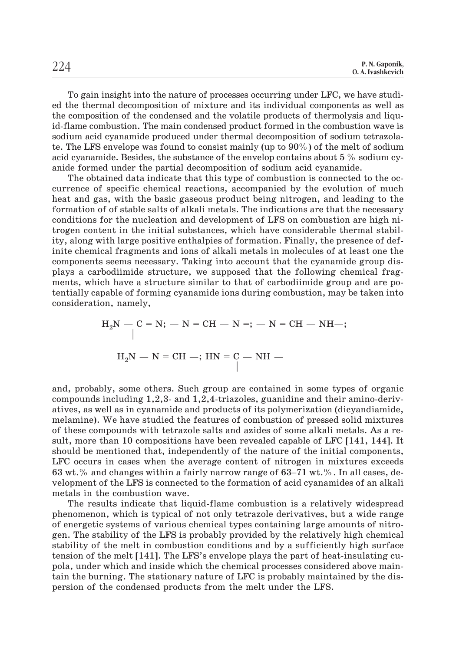To gain insight into the nature of processes occurring under LFC, we have studied the thermal decomposition of mixture and its individual components as well as the composition of the condensed and the volatile products of thermolysis and liquid-flame combustion. The main condensed product formed in the combustion wave is sodium acid cyanamide produced under thermal decomposition of sodium tetrazolate. The LFS envelope was found to consist mainly (up to 90%) of the melt of sodium acid cyanamide. Besides, the substance of the envelop contains about 5 % sodium cyanide formed under the partial decomposition of sodium acid cyanamide.

The obtained data indicate that this type of combustion is connected to the occurrence of specific chemical reactions, accompanied by the evolution of much heat and gas, with the basic gaseous product being nitrogen, and leading to the formation of of stable salts of alkali metals. The indications are that the necessary conditions for the nucleation and development of LFS on combustion are high nitrogen content in the initial substances, which have considerable thermal stability, along with large positive enthalpies of formation. Finally, the presence of definite chemical fragments and ions of alkali metals in molecules of at least one the components seems necessary. Taking into account that the cyanamide group displays a carbodiimide structure, we supposed that the following chemical fragments, which have a structure similar to that of carbodiimide group and are potentially capable of forming cyanamide ions during combustion, may be taken into consideration, namely,

$$
{\rm H_2N-C=N; -N=CH-N=;-N=CH-NH-;}\atop {\rm H_2N-N=CH-; HN=C-NH-}\atop \vert
$$

and, probably, some others. Such group are contained in some types of organic compounds including 1,2,3- and 1,2,4-triazoles, guanidine and their amino-derivatives, as well as in cyanamide and products of its polymerization (dicyandiamide, melamine). We have studied the features of combustion of pressed solid mixtures of these compounds with tetrazole salts and azides of some alkali metals. As a result, more than 10 compositions have been revealed capable of LFC [141, 144]. It should be mentioned that, independently of the nature of the initial components, LFC occurs in cases when the average content of nitrogen in mixtures exceeds darves, as went as in eyananide and products of ris perymerization (dryamatamide, melamine). We have studied the features of combustion of pressed solid mixtures of these compounds with tetrazole salts and azides of some a velopment of the LFS is connected to the formation of acid cyanamides of an alkali metals in the combustion wave.

The results indicate that liquid-flame combustion is a relatively widespread phenomenon, which is typical of not only tetrazole derivatives, but a wide range of energetic systems of various chemical types containing large amounts of nitrogen. The stability of the LFS is probably provided by the relatively high chemical stability of the melt in combustion conditions and by a sufficiently high surface tension of the melt [141]. The LFS's envelope plays the part of heat-insulating cupola, under which and inside which the chemical processes considered above maintain the burning. The stationary nature of LFC is probably maintained by the dispersion of the condensed products from the melt under the LFS.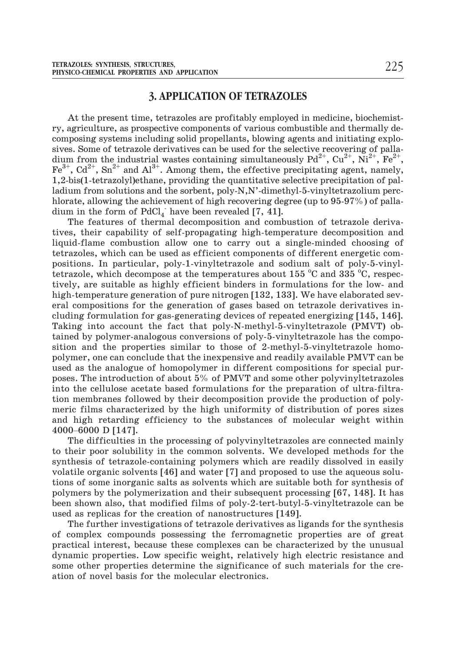#### **3. APPLICATION OF TETRAZOLES**

At the present time, tetrazoles are profitably employed in medicine, biochemistry, agriculture, as prospective components of various combustible and thermally decomposing systems including solid propellants, blowing agents and initiating explosives. Some of tetrazole derivatives can be used for the selective recovering of palladium from the industrial wastes containing simultaneously  $Pd^{2+}$ ,  $Cu^{2+}$ ,  $Ni^{2+}$ ,  $Fe^{2+}$ ,  $Fe^{3+}$ ,  $Cd^{2+}$ ,  $Sn^{2+}$  and  $Al^{3+}$ . Among them, the effective precipitating agent, namely, 1,2-bis(1-tetrazolyl)ethane, providing the quantitative selective precipitation of palladium from solutions and the sorbent, poly-N,N'-dimethyl-5-vinyltetrazolium perchlorate, allowing the achievement of high recovering degree (up to 95-97%) of palladium in the form of  $PdCl_4$  have been revealed [7, 41].

The features of thermal decomposition and combustion of tetrazole derivatives, their capability of self-propagating high-temperature decomposition and liquid-flame combustion allow one to carry out a single-minded choosing of tetrazoles, which can be used as efficient components of different energetic compositions. In particular, poly-1-vinyltetrazole and sodium salt of poly-5-vinyltetrazole, which decompose at the temperatures about 155  $^{\circ}$ C and 335  $^{\circ}$ C, respectively, are suitable as highly efficient binders in formulations for the low- and high-temperature generation of pure nitrogen [132, 133]. We have elaborated several compositions for the generation of gases based on tetrazole derivatives including formulation for gas-generating devices of repeated energizing [145, 146]. Taking into account the fact that poly-N-methyl-5-vinyltetrazole (PMVT) obtained by polymer-analogous conversions of poly-5-vinyltetrazole has the composition and the properties similar to those of 2-methyl-5-vinyltetrazole homopolymer, one can conclude that the inexpensive and readily available PMVT can be used as the analogue of homopolymer in different compositions for special purposes. The introduction of about 5% of PMVT and some other polyvinyltetrazoles into the cellulose acetate based formulations for the preparation of ultra-filtration membranes followed by their decomposition provide the production of polymeric films characterized by the high uniformity of distribution of pores sizes and high retarding efficiency to the substances of molecular weight within assa as the analoge<br>poses. The introduct<br>into the cellulose ac<br>tion membranes foll<br>meric films charact<br>and high retarding<br>4000–6000 D [147].

The difficulties in the processing of polyvinyltetrazoles are connected mainly to their poor solubility in the common solvents. We developed methods for the synthesis of tetrazole-containing polymers which are readily dissolved in easily volatile organic solvents [46] and water [7] and proposed to use the aqueous solutions of some inorganic salts as solvents which are suitable both for synthesis of polymers by the polymerization and their subsequent processing [67, 148]. It has been shown also, that modified films of poly-2-tert-butyl-5-vinyltetrazole can be used as replicas for the creation of nanostructures [149].

The further investigations of tetrazole derivatives as ligands for the synthesis of complex compounds possessing the ferromagnetic properties are of great practical interest, because these complexes can be characterized by the unusual dynamic properties. Low specific weight, relatively high electric resistance and some other properties determine the significance of such materials for the creation of novel basis for the molecular electronics.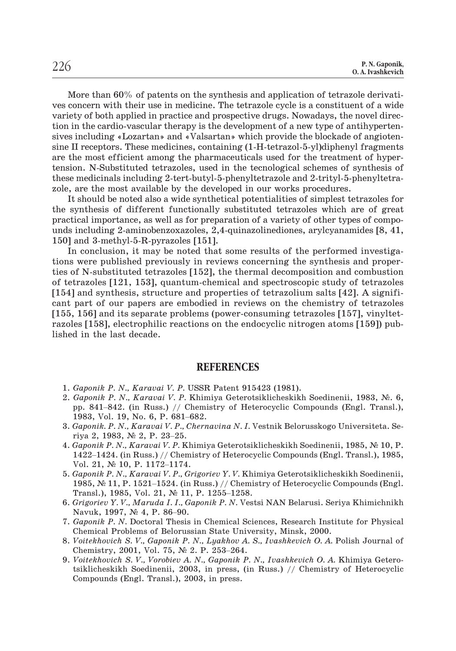More than 60% of patents on the synthesis and application of tetrazole derivatives concern with their use in medicine. The tetrazole cycle is a constituent of a wide variety of both applied in practice and prospective drugs. Nowadays, the novel direction in the cardio-vascular therapy is the development of a new type of antihypertensives including «Lozartan» and «Valsartan» which provide the blockade of angiotensine II receptors. These medicines, containing (1-H-tetrazol-5-yl)diphenyl fragments are the most efficient among the pharmaceuticals used for the treatment of hypertension. N-Substituted tetrazoles, used in the tecnological schemes of synthesis of these medicinals including 2-tert-butyl-5-phenyltetrazole and 2-trityl-5-phenyltetrazole, are the most available by the developed in our works procedures.

It should be noted also a wide synthetical potentialities of simplest tetrazoles for the synthesis of different functionally substituted tetrazoles which are of great practical importance, as well as for preparation of a variety of other types of compounds including 2-aminobenzoxazoles, 2,4-quinazolinediones, arylcyanamides [8, 41, 150] and 3-methyl-5-R-pyrazoles [151].

In conclusion, it may be noted that some results of the performed investigations were published previously in reviews concerning the synthesis and properties of N-substituted tetrazoles [152], the thermal decomposition and combustion of tetrazoles [121, 153], quantum-chemical and spectroscopic study of tetrazoles [154] and synthesis, structure and properties of tetrazolium salts [42]. A significant part of our papers are embodied in reviews on the chemistry of tetrazoles [155, 156] and its separate problems (power-consuming tetrazoles [157], vinyltetrazoles [158], electrophilic reactions on the endocyclic nitrogen atoms [159]) published in the last decade.

#### **REFERENCES**

- 1. *Gaponik P. N., Karavai V. P.* USSR Patent 915423 (1981).
- 2. *Gaponik P. N., Karavai V. P.* Khimiya Geterotsiklicheskikh Soedinenii, 1983, N. 6, **REFERENCES**<br> *Gaponik P. N., Karavai V. P.* USSR Patent 915423 (1981).<br> *Gaponik P. N., Karavai V. P. Khimiya Geterotsiklicheskikh Soedinenii, 1983, N. 6,*<br>
pp. 841–842. (in Russ.) // Chemistry of Heterocyclic Compounds ( **RH**<br>*Gaponik P. N., Karavai V. P.* USSI<br>*Gaponik P. N., Karavai V. P.* Khir<br>pp. 841–842. (in Russ.) // Chem<br>1983, Vol. 19, No. 6, P. 681–682. *Gaponik P. N., Karavai V. P.*<br>*Gaponik P. N., Karavai V. P.*<br>pp. 841–842. (in Russ.) // (<br>1983, Vol. 19, No. 6, P. 681–<br>*Gaponik. P. N., Karavai V. P.,*<br>riya 2, 1983, № 2, P. 23–25. pp. 841–842. (in Russ.) // Chemistry of Heterocyclic Compounds (Engl. Transl.), 1983, Vol. 19, No. 6, P. 681–682.<br>Gaponik. P. N., Karavai V. P., Chernavina N. I. Vestnik Belorusskogo Universiteta. Seriya 2, 1983, Nº 2, P.
- 3. *Gaponik. P. N., Karavai V. P., Chernavina N. I.* Vestnik Belorusskogo Universiteta. Se-
- 4. *Gaponik P. N., Karavai V. P.* Khimiya Geterotsiklicheskikh Soedinenii, 1985, № 10, P. 1983, Vol. 19, No. 6, P. 681–<br>*Gaponik. P. N., Karavai V. P., C*<br>riya 2, 1983, № 2, P. 23–25.<br>*Gaponik P. N., Karavai V. P.* Kl<br>1422–1424. (in Russ.) // Chem<br>Vol. 21, № 10, P. 1172–1174. riya 2, 1983, Nº 2, P. 23–25.<br>
Gaponik P. N., Karavai V. P. Khimiya Geterotsiklicheskikh Soedinenii, 1985, Nº 10, P.<br>
1422–1424. (in Russ.) // Chemistry of Heterocyclic Compounds (Engl. Transl.), 1985,<br>
Vol. 21, Nº 10, P. Caponik P. N., Karavai V. P. Khimiya Geterotsi<br>1422–1424. (in Russ.) // Chemistry of Heteroc<br>Vol. 21,  $\mathcal{N}$  10, P. 1172–1174.<br>Gaponik P. N., Karavai V. P., Grigoriev Y. V. Kh<br>1985,  $\mathcal{N}$  11, P. 1521–1524. (in Russ.)
- 5. *Gaponik P. N., Karavai V. P., Grigoriev Y. V.* Khimiya Geterotsiklicheskikh Soedinenii, Vol. 21, № 10, P. 1172–1174<br>*Gaponik P. N., Karavai V. P., G*<br>1985, № 11, P. 1521–1524. (ir<br>Transl.), 1985, Vol. 21, № 11<br>*Grigoriev Y. V., Maruda I. I., G*<br>Navuk, 1997, № 4, P. 86–90.
- 6. *Grigoriev Y. V., Maruda I. I., Gaponik P. N.* Vestsi NAN Belarusi. Seriya Khimichnikh
- 7. *Gaponik P. N.* Doctoral Thesis in Chemical Sciences, Research Institute for Physical Chemical Problems of Belorussian State University, Minsk, 2000. Grigoriev Y.V., Maruda I.I., Gaponik P.N.V.<br>Navuk, 1997, N° 4, P. 86–90.<br>Gaponik P.N. Doctoral Thesis in Chemical S<br>Chemical Problems of Belorussian State Uni<br>Voitekhovich S.V., Gaponik P.N., Lyakhov A<br>Chemistry, 2001, Vol
- 8. *Voitekhovich S. V., Gaponik P. N., Lyakhov A. S., Ivashkevich O. A.* Polish Journal of
- 9. *Voitekhovich S. V., Vorobiev A. N., Gaponik P. N., Ivashkevich O. A.* Khimiya Geterotsiklicheskikh Soedinenii, 2003, in press, (in Russ.) // Chemistry of Heterocyclic Compounds (Engl. Transl.), 2003, in press.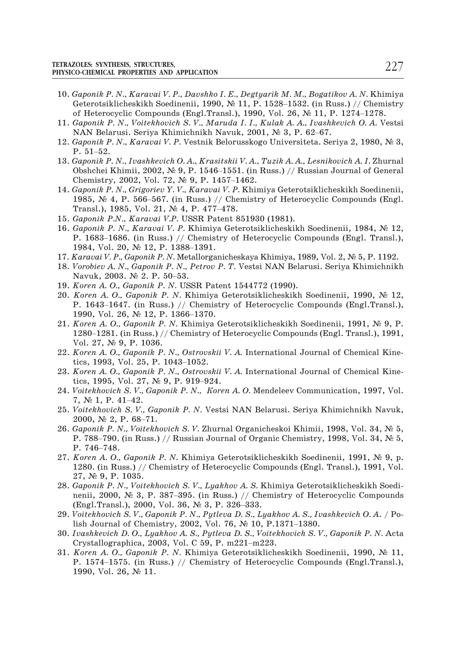- 10. *Gaponik P. N., Karavai V. P., Davshko I. E., Degtyarik M. M., Bogatikov A. N.* Khimiya COLES: SYNTHESIS, STRUCTURES,<br>CO-CHEMICAL PROPERTIES AND APPLICATION<br>*Gaponik P. N., Karavai V. P., Davshko I. E., Degtyarik M. M., Bogatikov A. N*. Khimiya<br>Geterotsiklicheskikh Soedinenii, 1990, № 11, P. 1528–1532. (in R CO-CHEMICAL PROPERTIES AND APPLICATION<br>Caponik P. N., Karavai V. P., Davshko I. E., Degtyarik M. M., Bogatikov A. N. Khii<br>Geterotsiklicheskikh Soedinenii, 1990, № 11, P. 1528–1532. (in Russ.) // Chemi<br>of Heterocyclic Comp Gaponik P. N., Karavai V. P., Davshko I. E., Degtyarik M. M., Bogat<br>Geterotsiklicheskikh Soedinenii, 1990, № 11, P. 1528–1532. (in R<br>of Heterocyclic Compounds (Engl.Transl.), 1990, Vol. 26, № 11, I<br>Gaponik P. N., Voitekho Geterotsil<br>Geterotsil<br>of Hetero<br>Gaponik F<br>Gaponik F<br>P. 51–52.
- 11. *Gaponik P. N., Voitekhovich S. V., Maruda I. I., Kulak A. A., Ivashkevich O. A.* Vestsi
- 12. *Gaponik P. N., Karavai V. P.* Vestnik Belorusskogo Universiteta. Seriya 2, 1980, № 3,
- 13. *Gaponik P. N., Ivashkevich O. A., Krasitskii V. A., Tuzik A. A., Lesnikovich A. I.* Zhurnal *Gaponik P. N., Voitekhovich S. V., Maruda I. I., Kulak A. A., Ivashkevich O. A. Vestsi*<br>NAN Belarusi. Seriya Khimichnikh Navuk, 2001, № 3, P. 62–67.<br>*Gaponik P. N., Karavai V. P.* Vestnik Belorusskogo Universiteta. Seriy NAN Belarusi. Seriya Khimichnikh Navuk, 20<br>*Gaponik P. N., Karavai V. P.* Vestnik Belorussko<br>P. 51–52.<br>*Gaponik P. N., Ivashkevich O. A., Krasitskii V. A.*<br>Obshchei Khimii, 2002, № 9, P. 1546–1551. (in<br>Chemistry, 2002, Vo P. 51–52.<br>
Gaponik P. N., Ivashkevich O. A., Krasitskii V. A., Tuzik A. A., Lesnikovich A. I. Zhurnal<br>
Obshchei Khimii, 2002, № 9, P. 1546–1551. (in Russ.) // Russian Journal of General<br>
Chemistry, 2002, Vol. 72, № 9, P. P. 51–52.<br>Gaponik P. N., Ivashkevich O. A., Krasitskii V. A., Tuzik A. A., Lesnikovich A. I. Zhurnal<br>Obshchei Khimii, 2002, № 9, P. 1546–1551. (in Russ.) // Russian Journal of General<br>Chemistry, 2002, Vol. 72, № 9, P. 14
- 14. *Gaponik P. N., Grigoriev Y. V., Karavai V. P.* Khimiya Geterotsiklicheskikh Soedinenii, 1985, № 4, P. 566–567. (in Russ.) // Chemistry of Heterocyclic Compounds (Engl. Transl.), 1985, Vol. 21, № 4, P. 477–478.<br>15. *G*
- 15. *Gaponik P.N., Karavai V.P.* USSR Patent 851930 (1981).
- 16. *Gaponik P. N., Karavai V. P.* Khimiya Geterotsiklicheskikh Soedinenii, 1984, № 12, Transl.), 1985, Vol. 21,  $N_2$  4, P. 477–478.<br>Gaponik P.N., Karavai V.P. USSR Patent 8<br>Gaponik P. N., Karavai V. P. Khimiya Get<br>P. 1683–1686. (in Russ.) // Chemistry of<br>1984, Vol. 20,  $N_2$  12, P. 1388–1391. P. 1683–1686. (in Russ.) // Chemistry of Heterocyclic Compounds (Engl. Transl.), 1984, Vol. 20, № 12, P. 1388–1391.<br>Karavai V. P., Gaponik P. N. Metallorganicheskaya Khimiya, 1989, Vol. 2, № 5, P. 1192.<br>Vorobiev A. N., G
- 17. *Karavai V. P., Gaponik P. N.* Metallorganicheskaya Khimiya, 1989, Vol. 2, № 5, P. 1192.
- 18. *Vorobiev A. N., Gaponik P. N., Petrov P. T.* Vestsi NAN Belarusi. Seriya Khimichnikh Karavai V. P., Gaponik P. N. Metallorganicheskaya Khimiya, 1989, Vol. 2, № 5, P. 1192.<br>Vorobiev A. N., Gaponik P. N., Petrov P. T. Vestsi NAN Belarusi. Seriya Khimichnikh<br>Navuk, 2003. № 2. P. 50–53.<br>Koren A. O., Gaponik P
- 19. *Koren A. O., Gaponik P. N.* USSR Patent 1544772 (1990).
- 20. *Koren A. O., Gaponik P. N.* Khimiya Geterotsiklicheskikh Soedinenii, 1990, № 12, *Vorobiev A. N., Gaponik P. N., Petrov*<br>Navuk, 2003. № 2. P. 50–53.<br>*Koren A. O., Gaponik P. N.* USSR Pa<br>*Koren A. O., Gaponik P. N.* Khimiya<br>P. 1643–1647. (in Russ.) // Chemis<br>1990, Vol. 26, № 12, P. 1366–1370. Koren A. O., Gaponik P. N. USSR Patent 1544772 (1990).<br>Koren A. O., Gaponik P. N. Khimiya Geterotsiklicheskikh Soedinenii, 1990, № 12,<br>P. 1643–1647. (in Russ.) // Chemistry of Heterocyclic Compounds (Engl.Transl.),<br>1990,
- 21. *Koren A. O., Gaponik P. N. Khimiya Geterotsiklicheskikh Soedinenii*, 1991, Nº 9, P. Vol. 27,  $\mathbb{N}$  9, P. 1036. 1990, Vol. 26,  $N_{\!\!\!z}$  12, P. 1366-137<br>*Koren A. O., Gaponik P. N.* Khimiy<br>1280-1281. (in Russ.) // Chemistry<br>Vol. 27,  $N_{\!\!\!z}$  9, P. 1036.<br>*Koren A. O., Gaponik P. N., Ostrov.*<br>tics, 1993, Vol. 25, P. 1043-1052. 1280–1281. (in Russ.) // Chemistry of<br>Vol. 27,  $N_e$  9, P. 1036.<br>*Koren A. O., Gaponik P. N., Ostrovskii*<br>tics, 1993, Vol. 25, P. 1043–1052.<br>*Koren A. O., Gaponik P. N., Ostrovskii*<br>tics, 1995, Vol. 27,  $N_e$  9, P. 919–924.
- 22. *Koren A. O., Gaponik P. N., Ostrovskii V. A.* International Journal of Chemical Kine-*Koren A. O., Gapo.*<br> *Koren A. O., Gapo.*<br> *Koren A. O., Gapo.*<br> *Koren A. O., Gapo.*<br> *Koren A. O., Gapo.*<br> *Voitekhovich S. V.,*<br>
7, № 1, P. 41–42.
- 23. *Koren A. O., Gaponik P. N., Ostrovskii V. A.* International Journal of Chemical Kine-
- 24. *Voitekhovich S. V., Gaponik P. N., Êîrån À. Î.* Mendeleev Communication, 1997, Vol. *Koren A. O., Gaponik*<br>tics, 1995, Vol. 27, N<br>*Voitekhovich S. V., Ga<sub>1</sub>*<br>7, № 1, P. 41–42.<br>*Voitekhovich S. V., Ga*<br>2000, № 2, P. 68–71. Voitekhovich S. V., Gaponik P. N., Koren A. O. Mendeleev Communication, 1997, Vol.<br>7, № 1, P. 41–42.<br>Voitekhovich S. V., Gaponik P. N. Vestsi NAN Belarusi. Seriya Khimichnikh Navuk,<br>2000, № 2, P. 68–71.<br>Gaponik P. N., Voit
- 25. *Voitekhovich S. V., Gaponik P. N.* Vestsi NAN Belarusi. Seriya Khimichnikh Navuk,
- 26. *Gaponik P. N., Voitekhovich S. V.* Zhurnal Organicheskoi Khimii, 1998, Vol. 34, № 5, 7, № 1, P. 4<br>7, № 1, P. 4<br>Voitekhovick<br>2000, № 2,<br>Gaponik P. 1<br>P. 788–790.<br>P. 746–748.
- 27. *Koren A. O., Gaponik P. N.* Khimiya Geterotsiklicheskikh Soedinenii, 1991, № 9, p. 1280. (in Russ.) // Chemistry of Heterocyclic Compounds (Engl. Transl.), 1991, Vol.  $27, \mathcal{N}$  9, P. 1035. nenii, 2000, No. 3, P. 387–395. (in Russ.) // Chemistry of Heterocyclic Compounds (Engl. Transl.), 1991, No. 37, No. 9, P. 1035.<br> *Gaponik P. N., Voitekhovich S. V., Lyakhov A. S. Khimiya Geterotsiklicheskikh Soedinenii,* Foren A. O., Gaponik P. N. Khimiya Geterotsikl<br>1280. (in Russ.) // Chemistry of Heterocyclic Co<br>27,  $\mathcal{N}_2$  9, P. 1035.<br>Gaponik P. N., Voitekhovich S. V., Lyakhov A. S. I<br>nenii, 2000,  $\mathcal{N}_2$  3, P. 387–395. (in Russ.)
- 28. *Gaponik P. N., Voitekhovich S. V., Lyakhov A. S.* Khimiya Geterotsiklicheskikh Soedi-27,  $N_e$  9, P. 1035.<br>Gaponik P. N., Voitekhovich S. V., Lyakhov A. S. Khimiya Getero<br>nenii, 2000,  $N_e$  3, P. 387–395. (in Russ.) // Chemistry of Het<br>(Engl.Transl.), 2000, Vol. 36,  $N_e$  3, P. 326–333.<br>Voitekhovich S. V., G menii, 2000,  $\mathbb{N}^2$  3, P. 387–395. (in Russ.) // Chemi<br>(Engl.Transl.), 2000, Vol. 36,  $\mathbb{N}^2$  3, P. 326–333.<br>Voitekhovich S. V., Gaponik P. N., Pytleva D. S., Lyak<br>lish Journal of Chemistry, 2002, Vol. 76,  $\mathbb{N}^$
- 29. *Voitekhovich S. V., Gaponik P. N., Pytleva D. S., Lyakhov A. S., Ivashkevich O. A*. / Po-
- 30. *Ivashkevich D. O., Lyakhov A. S., Pytleva D. S., Voitekhovich S. V., Gaponik P. N.* Acta Voitekhovich S.V., Gaponik P.N., Pytleva D.S., Lyakhov A.S., Ivashkevich O.A. / Polish Journal of Chemistry, 2002, Vol. 76, Ne 10, P.1371–1380.<br>Ivashkevich D.O., Lyakhov A.S., Pytleva D.S., Voitekhovich S.V., Gaponik P.N.
- 31. *Koren A. O., Gaponik P. N.* Khimiya Geterotsiklicheskikh Soedinenii, 1990, № 11, 1990, Vol. 26, № 11.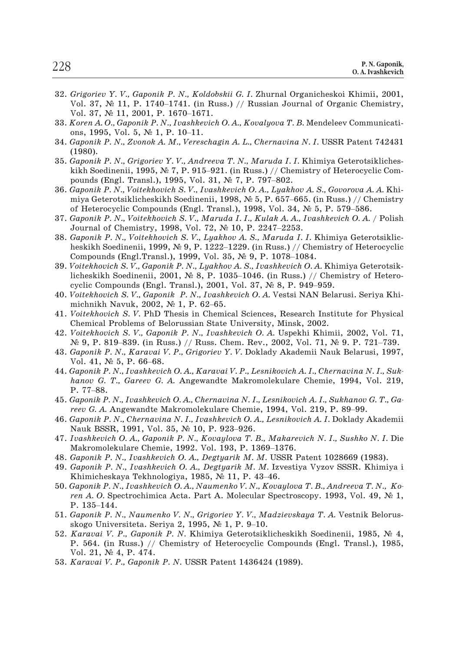- 32. *Grigoriev Y. V., Gaponik P. N., Koldobskii G. I.* Zhurnal Organicheskoi Khimii, 2001, R. N. Gaponik,<br>
O. A. Ivashkevich<br> *Grigoriev Y. V., Gaponik P. N., Koldobskii G. I. Z*hurnal Organicheskoi Khimii, 2001,<br>
Vol. 37, № 11, P. 1740–1741. (in Russ.) // Russian Journal of Organic Chemistry, |<br>| Grigoriev Y. V., Gaponik P. N., Kolde<br>| Vol. 37, № 11, P. 1740–1741. (in R<br>| Vol. 37, № 11, 2001, P. 1670–1671. *Grigoriev Y. V., Gaponik P. N., Ko.*<br>Vol. 37, № 11, P. 1740–1741. (in<br>Vol. 37, № 11, 2001, P. 1670–167<br>*Koren A. O., Gaponik P. N., Ivashke*<br>ons, 1995, Vol. 5, № 1, P. 10–11.
- 33. *Koren A. O., Gaponik P. N., Ivashkevich O. A., Kovalyova T. B.* Mendeleev Communicati-Koren A. O., Gaponik P. N., Ivashkevich O. A., Kovalyova T. B. Mendeleev Communications, 1995, Vol. 5, Nº 1, P. 10–11.<br>Gaponik P. N., Zvonok A. M., Vereschagin A. L., Chernavina N. I. USSR Patent 742431<br>(1980).<br>Gaponik P.
- 34. *Gaponik P. N., Zvonok A. M., Vereschagin A. L., Chernavina N. I.* USSR Patent 742431 (1980).
- 35. *Gaponik P. N., Grigoriev Y. V., Andreeva T. N., Maruda I. I.* Khimiya Geterotsiklichesons, 1995, Vol. 5,  $N_{\geq}$  1, P. 10–11.<br> *Gaponik P. N., Zvonok A. M., Vereschagin A. L., Chernavina N. I.* USSR Patent 742431<br>
(1980).<br> *Gaponik P. N., Grigoriev Y. V., Andreeva T. N., Maruda I. I.* Khimiya Geterotsikli (1980).<br>Gaponik P. N., Grigoriev Y. V., Andreeva T. N., Maruda I. I. Khimiya Geterotsikliches-<br>kikh Soedinenii, 1995, N° 7, P. 915–921. (in Russ.) // Chemistry of Heterocyclic Com-<br>pounds (Engl. Transl.), 1995, Vol. 31, N
- 36. *Gaponik P. N., Voitekhovich S. V., Ivashkevich Î. À., Lyakhov A. S., Govorova A. A.* Khi-Gaponik P. N., Grigoriev Y. V., Andreeva T. N., Maruda I. I. Khimiya Geterotsi<br>kikh Soedinenii, 1995, Nº 7, P. 915–921. (in Russ.) // Chemistry of Heterocyc<br>pounds (Engl. Transl.), 1995, Vol. 31, Nº 7, P. 797–802.<br>Gaponik pounds (Engl. Transl.), 1995, Vol. 31, Nº 7, P. 797–802.<br>Gaponik P. N., Voitekhovich S. V., Ivashkevich O. A., Lyakhov<br>miya Geterotsiklicheskikh Soedinenii, 1998, Nº 5, P. 657–66<br>of Heterocyclic Compounds (Engl. Transl.), miya Geterotsiklicheskikh Soedinenii, 1998, N° 5, P. 657–665. (in Russ.) // Chemistry<br>of Heterocyclic Compounds (Engl. Transl.), 1998, Vol. 34, N° 5, P. 579–586.<br>Gaponik P. N., Voitekhovich S. V., Maruda I. I., Kulak A. A.
- 37. *Gaponik P. N., Voitekhovich S. V., Maruda I. I., Kulak À. À., Ivashkevich Î. À.* / Polish
- 38. *Gaponik P. N., Voitekhovich S. V., Lyakhov A. S., Maruda I. I.* Khimiya Geterotsiklicof Heterocyclic Compounds (Engl. Transl.), 1998, Vol. 34,  $\mathbb{N}^5$  5, P. 579–586.<br>Gaponik P. N., Voitekhovich S. V., Maruda I. I., Kulak A. A., Ivashkevich O. A. / Polish<br>Journal of Chemistry, 1998, Vol. 72,  $\mathbb{N}^5$  Journal of Chemistry, 1998, Vol. 72, № 10, P. 2247–2253.<br>Gaponik P. N., Voitekhovich S. V., Lyakhov A. S., Maruda I. I. Khimiya Geterotsiklicheskikh Soedinenii, 1999, № 9, P. 1222–1229. (in Russ.) // Chemistry of Heterocy *Gaponik P. N., Voitekhovich S. V., Lyakhov A. S., Maruda I. I.* Khim heskikh Soedinenii, 1999,  $\mathcal{N}$ : 9, P. 1222–1229. (in Russ.) // Chemist Compounds (Engl.Transl.), 1999, Vol. 35,  $\mathcal{N}$ : 9, P. 1078–1084. Voitekho
- 39. *Voitekhovich S. V., Gaponik P. N., Lyakhov A. S., Ivashkevich O. A.* Khimiya Geterotsiklicheskikh Soedinenii, 2001,  $\mathbb{N}^{\circ}$  8, P. 1035–1046. (in Russ.) // Chemistry of Heterocyclic Compounds (Engl. Transl.), 2001, Vol. 37,  $\mathbb{N}^{\circ}$  8, P. 949–959.<br>Voitekhovich S. V., Gaponik P. N., Ivashkevich O. A.
- 40. *Voitekhovich S. V., Gaponik P. N., Ivashkevich O. A.* Vestsi NAN Belarusi. Seriya Khi-
- 41. *Voitekhovich S. V.* PhD Thesis in Chemical Sciences, Research Institute for Physical Chemical Problems of Belorussian State University, Minsk, 2002. Voitekhovich S. V., Gaponik P. N., Ivashkevich O. A. Vestsi NAN Belarusi. Seriya Khi<br>michnikh Navuk, 2002, N° 1, P. 62–65.<br>Voitekhovich S. V. PhD Thesis in Chemical Sciences, Research Institute for Physica<br>Chemical Proble Voitekhovich S. V. PhD<br>Chemical Problems of B<br>Voitekhovich S. V., Gapo<br>Ne 9, P. 819–839. (in Ri<br>Gaponik P. N., Karavai Vol. 41, Ne 5, P. 66–68.
- 42. *Voitekhovich S. V., Gaponik P. N., Ivashkevich O. A.* Uspekhi Khimii, 2002, Vol. 71,
- 43. *Gaponik P. N., Karavai V. P., Grigoriev Y. V.* Doklady Akademii Nauk Belarusi, 1997,
- 44. *Gaponik P. N., Ivashkevich O. A., Karavai V. P., Lesnikovich A. I., Chernavina N. I., Sukhanov G. T., Gareev G. A.* Angewandte Makromolekulare Chemie, 1994, Vol. 219, Nº 9, P. 8<br>*Gaponik I*<br>Vol. 41, J<br>*Gaponik P*<br>hanov *G*.<br>P. 77–88. *reev G. A. Angewandte Makromolekulare Chemie, 1994, Vol. 41, Ne 5, P. 66–68.*<br>*Gaponik P. N., Ivashkevich O. A., Karavai V. P., Lesnikovich A. I., Chernavina lhanov G. T., Gareev G. A. Angewandte Makromolekulare Chemie, 1* hanov G. T., Gareev G. A. Angewandte Makro<br>P. 77–88.<br>Gaponik P. N., Ivashkevich O. A., Chernavina N. I<br>reev G. A. Angewandte Makromolekulare Chemi<br>Gaponik P. N., Chernavina N. I., Ivashkevich O. ∆<br>Nauk BSSR, 1991, Vol. 35
- 45. *Gaponik P. N., Ivashkevich O. A., Chernavina N. I., Lesnikovich A. I., Sukhanov G. T., Ga-*Gaponik P. N., Ivashkevich O. A., Chernavina N. I., Lesnikov<br>reev G. A. Angewandte Makromolekulare Chemie, 1994, V<br>Gaponik P. N., Chernavina N. I., Ivashkevich O. A., Lesniko<br>Nauk BSSR, 1991, Vol. 35, № 10, P. 923–926.<br>Iv
- 46. *Gaponik P. N., Chernavina N. I., Ivashkevich O. A., Lesnikovich A. I.* Doklady Akademii
- 47. *Ivashkevich O. A., Gaponik P. N., Kovaylova T. B., Makarevich N. I., Sushko N. I.* Die Nauk BSSR, 1991, Vol. 35, № 10, P. 923–926.<br>Ivashkevich O. A., Gaponik P. N., Kovaylova T. B., Ma<br>Makromolekulare Chemie, 1992. Vol. 193, P. 1369–1<br>Gaponik P. N., Ivashkevich O. A., Degtyarik M. M. US<br>Gaponik P. N., Ivash
- 48. *Gaponik P. N., Ivashkevich O. A., Degtyarik M. M.* USSR Patent 1028669 (1983).
- 49. *Gaponik P. N., Ivashkevich O. A., Degtyarik M. M.* Izvestiya Vyzov SSSR. Khimiya i
- 50. *Gaponik P. N., Ivashkevich O. A., Naumenko V. N., Kovaylova T. B., Andreeva T. N., Koren A. O.* Spectrochimica Acta. Part A. Molecular Spectroscopy. 1993, Vol. 49, № 1, Gaponik P. 1<br>Gaponik P. 1<br>Khimichesk.<br>Kaponik P. N<br>ren A. O. Sp<br>P. 135–144. Khimicheskaya Tekhnologiya, 1985, № 11, P. 43–<br>Gaponik P. N., Ivashkevich O. A., Naumenko V. N., K<br>ren A. O. Spectrochimica Acta. Part A. Molecular<br>P. 135–144.<br>Gaponik P. N., Naumenko V. N., Grigoriev Y. V., M.<br>skogo Univ
- 51. *Gaponik P. N., Naumenko V. N., Grigoriev Y. V., Madzievskaya T. A.* Vestnik Belorus-
- 52. *Karavai V. P., Gaponik P. N.* Khimiya Geterotsiklicheskikh Soedinenii, 1985, № 4, P. 564. (in Russ.) // Chemistry of Heterocyclic Compounds (Engl. Transl.), 1985, Vol. 21,  $\mathbb{N}$  4, P. 474.
- 53. *Karavai V. P., Gaponik P. N.* USSR Patent 1436424 (1989).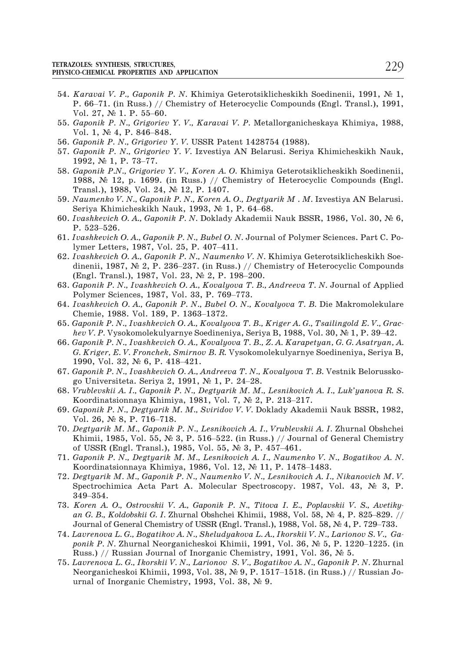- 54. *Karavai V. P., Gaponik P. N.* Khimiya Geterotsiklicheskikh Soedinenii, 1991, № 1, EXTRES ANTINES AND APPERTING SUNDER AND APPERTION FOR SERVICE SERVICE AND APPERTIES AND APPERTION<br>France Compounds (Engl. 1991, № 1, P. 66–71. (in Russ.) // Chemistry of Heterocyclic Compounds (Engl. Transl.), 1991, **ZOLES: SYNTHESIS, STRUCTUR<br>CO-CHEMICAL PROPERTIES AN<br>Karavai V. P., Gaponik<br>P. 66–71. (in Russ.) // √<br>Vol. 27, № 1. P. 55–60.** *Karavai V. P., Gaponik P.*<br>P. 66–71. (in Russ.) // C.<br>Vol. 27, № 1. P. 55–60.<br>*Gaponik P. N., Grigoriev*<br>Vol. 1, № 4, P. 846–848.
- 55. *Gaponik P. N., Grigoriev Y. V., Karavai V. P.* Metallorganicheskaya Khimiya, 1988, Vol. 27, № 1. P. 55–6<br>Gaponik P. N., Grigor<br>Vol. 1, № 4, P. 846–8<br>Gaponik P. N., Grigori<br>Gaponik P. N., Grigori<br>1992, № 1, P. 73–77.
- 56. *Gaponik P. N., Grigoriev Y. V.* USSR Patent 1428754 (1988).
- 57. *Gaponik P. N., Grigoriev Y. V.* Izvestiya AN Belarusi. Seriya Khimicheskikh Nauk,
- 58. *Gaponik P.N., Grigoriev Y. V., Koren A. O.* Khimiya Geterotsiklicheskikh Soedinenii, 1988,  $\mathbb{N}^{\circ}$  12, p. 1699. (in Russ.) // Chemistry of Heterocyclic Compounds (Engl. Transl.), 1988, Vol. 24, № 12, P. 1407. 1992,  $\mathbb{N}^2$  1, P. 73–77.<br>
Gaponik P.N., Grigoriev Y. V., Koren A. O. Khimiya<br>
1988,  $\mathbb{N}^2$  12, p. 1699. (in Russ.) // Chemistry of<br>
Transl.), 1988, Vol. 24,  $\mathbb{N}^2$  12, P. 1407.<br>
Naumenko V. N., Gaponik P. N., 1988, № 12<br>1988, № 12<br>Transl.), 19<br>Naumenko V<br>Seriya Khin<br>Ivashkevich<br>P. 523–526.
- 59. *Naumenko V. N., Gaponik P. N., Koren A. O., Degtyarik M . M.* Izvestiya AN Belarusi.
- Seriya Khimicheskikh Nauk, 1993, Nº 1, P. 64–68.<br>Ivashkevich O. A., Gaponik P. N. Doklady Akademii<br>P. 523–526.<br>Ivashkevich O. A., Gaponik P. N., Bubel O. N. Journal<br>Iymer Letters, 1987, Vol. 25, P. 407–411.
- 60. *Ivashkevich O. A., Gaponik P. N. Doklady Akademii Nauk BSSR, 1986, Vol. 30, № 6,*<br>P. 523–526.<br>61. *Ivashkevich O. A., Gaponik P. N., Bubel O. N. Journal of Polymer Sciences. Part C. Po-<br>lymer Letters, 1987, Vol. 25,* 61. *Ivashkevich O. A., Gaponik P. N., Bubel O. N.* Journal of Polymer Sciences. Part C. Po-
- 62. *Ivashkevich O. A., Gaponik P. N., Naumenko V. N.* Khimiya Geterotsiklicheskikh Soe-P. 523–526.<br>Ivashkevich O. A., Gaponik P. N., Bubel O. N. Journ<br>lymer Letters, 1987, Vol. 25, P. 407–411.<br>Ivashkevich O. A., Gaponik P. N., Naumenko V. N.<br>dinenii, 1987, № 2, P. 236–237. (in Russ.) // Ch<br>(Engl. Transl.), lymer Letters, 1987, Vol. 25, P. 407–411.<br>*Ivashkevich O.A., Gaponik P.N., Naumenko V.*<br>dinenii, 1987, № 2, P. 236–237. (in Russ.) //<br>(Engl. Transl.), 1987, Vol. 23, № 2, P. 198–2<br>*Gaponik P.N., Ivashkevich O.A., Kovalyov* dinenii, 1987, Nº 2, P. 236–237. (in Ru<br>(Engl. Transl.), 1987, Vol. 23, Nº 2, P.<br>*Gaponik P. N., Ivashkevich O. A., Kovaly*<br>Polymer Sciences, 1987, Vol. 33, P. 76!<br>*Ivashkevich O. A., Gaponik P. N., Bubel*<br>Chemie, 1988. Vo
- 63. *Gaponik P. N., Ivashkevich O. A., Kovalyova T. B., Andreeva T. N.* Journal of Applied *Gaponik P. N., Ivashkevich O. A., Kovalyova T. B., Andreeva T. N. Journal of Applic* Polymer Sciences, 1987, Vol. 33, P. 769–773.<br>*Ivashkevich O. A., Gaponik P. N., Bubel O. N., Kovalyova T. B. Die Makromolekulan*<br>Chemie
- 64. *Ivashkevich O. A., Gaponik P. N., Bubel O. N., Kovalyova T. B.* Die Makromolekulare
- 65. *Gaponik P. N., Ivashkevich O. A., Kovalyova T. B., Kriger A. G., Tsailingold E. V., Grac-*
- 66. *Gaponik P. N., Ivashkevich O. A., Kovalyova T. B., Z. A. Karapetyan, G. G. Asatryan, A. G. Kriger, E. V. Fronchek, Smirnov B. R.* Vysokomolekulyarnye Soedineniya, Seriya B, Chemie, 1988. Vol. 189, P. 1363<br>Gaponik P. N., Ivashkevich O. A., i<br>hev V. P. Vysokomolekulyarnye Sc<br>Gaponik P. N., Ivashkevich O. A., i<br>G. Kriger, E. V. Fronchek, Smirno<br>1990, Vol. 32, N. 6, P. 418–421. hev V. P. Vysokomolekulyarnye Soedineniya, Seri<br>Gaponik P. N., Ivashkevich O. A., Kovalyova T. B.,<br>G. Kriger, E. V. Fronchek, Smirnov B. R. Vysokom<br>1990, Vol. 32, № 6, P. 418–421.<br>Gaponik P. N., Ivashkevich O. A., Andreev G. Kriger, E. V. Fronchek, Smirnov B. R. Vysokomolekulyarnye<br>1990, Vol. 32, № 6, P. 418–421.<br>Gaponik P. N., Ivashkevich O. A., Andreeva T. N., Kovalyova T.<br>go Universiteta. Seriya 2, 1991, № 1, P. 24–28.<br>Vrublevskii A. I.
- 67. *Gaponik P. N., Ivashkevich O. A., Andreeva T. N., Kovalyova T. B.* Vestnik Belorussko-
- 68. *Vrublevskii A. I., Gaponik P. N., Degtyarik M. M., Lesnikovich A. I., Luk'yanova R. S.* Gaponik P. N., Ivashkevich<br>go Universiteta. Seriya 2,<br>Vrublevskii A. I., Gaponik l<br>Koordinatsionnaya Khimiy<br>Gaponik P. N., Degtyarik N<br>Vol. 26, № 8, P. 716–718. Vrublevskii A. I., Gaponik P. N., Degtyarik M. M., Lesnikovich A. I., Luk'yanova R. S.<br>Koordinatsionnaya Khimiya, 1981, Vol. 7, № 2, P. 213–217.<br>Gaponik P. N., Degtyarik M. M., Sviridov V. V. Doklady Akademii Nauk BSSR, 1
- 69. *Gaponik P. N., Degtyarik M. M., Sviridov V. V.* Doklady Akademii Nauk BSSR, 1982,
- 70. *Degtyarik M. M., Gaponik P. N., Lesnikovich A. I., Vrublevskii A. I.* Zhurnal Obshchei Koordinatsionnaya Khimiya, 1981, Vol. 7,  $\mathbb{N}^5$  2, P. 213–217.<br> *Gaponik P. N., Degtyarik M. M., Sviridov V. V.* Doklady Akademii Nauk BSSR, 1982, Vol. 26,  $\mathbb{N}^8$  8, P. 716–718.<br> *Degtyarik M. M., Gaponik P. N., L* Vol. 26, Ne 8, P. 716–718.<br>Degtyarik M. M., Gaponik P. N., Lesnikovich A. I., Vrublevskii A. I.<br>Khimii, 1985, Vol. 55, Ne 3, P. 516–522. (in Russ.) // Journal of t<br>Of USSR (Engl. Transl.), 1985, Vol. 55, Ne 3, P. 457–461.
- 71. *Gaponik P. N., Degtyarik M. M., Lesnikovich A. I., Naumenko V. N., Bogatikov A. N.*
- 72. *Degtyarik M. M., Gaponik P. N., Naumenko V. N., Lesnikovich A. I., Nikanovich M. V.* Spectrochimica Acta Part A. Molecular Spectroscopy. 1987, Vol. 43, № 3, P. of USSR<br>*Gaponik*<br>Koordina<br>*Degtyaril*<br>Spectrocl<br>349–354. *An* Koordinatsionnaya Khimiya, 1986, Vol. 12, № 11, P. 1478–1483.<br>*Degtyarik M. M., Gaponik P. N., Naumenko V. N., Lesnikovich A. I., Nikanovich M. V.*<br>Spectrochimica Acta Part A. Molecular Spectroscopy. 1987, Vol. 43, № Degtyarik M. M., Gaponik P. N., Naumenko V. N., Lesnikovich A. I., Nikanovich M. N. Spectrochimica Acta Part A. Molecular Spectroscopy. 1987, Vol. 43, № 3, I<br>349–354.<br>Koren A. O., Ostrovskii V. A., Gaponik P. N., Titova I
- 73. *Koren A. O., Ostrovskii V. A., Gaponik P. N., Titova I. E., Poplavskii V. S., Avetikyponik P. N., Titova I. E., Poplavskii V. S., Avetiky*<br> *Koren A. O., Ostrovskii V. A., Gaponik P. N., Titova I. E., Poplavskii V. S., Avetikyan G. B., Koldobskii G. I. Zhurnal Obshchei Khimii, 1988, Vol. 58, № 4, P. 825–*
- 74. *Lavrenova L. G., Bogatikov A. N., Sheludyakova L. A., Ikorskii V. N., Larionov S. V., Ga-*Russ.) // Russian Journal of Inorganic Chemistry, 1991, Vol. 36,  $\mathcal{N}$  5. Journal of General Chemistry of USSR (Engl. Transl.), 1988, Vol. 58, Ne 4, P. 729–733.<br>Lavrenova L. G., Bogatikov A. N., Sheludyakova L. A., Ikorskii V. N., Larionov S. V., Gaponik P. N. Zhurnal Neorganicheskoi Khimii, 199
- 75. *Lavrenova L. G., Ikorskii V. N., Larionov S. V., Bogatikov A. N., Gaponik P. N.* Zhurnal urnal of Inorganic Chemistry, 1993, Vol. 38,  $\mathcal{N}$  9.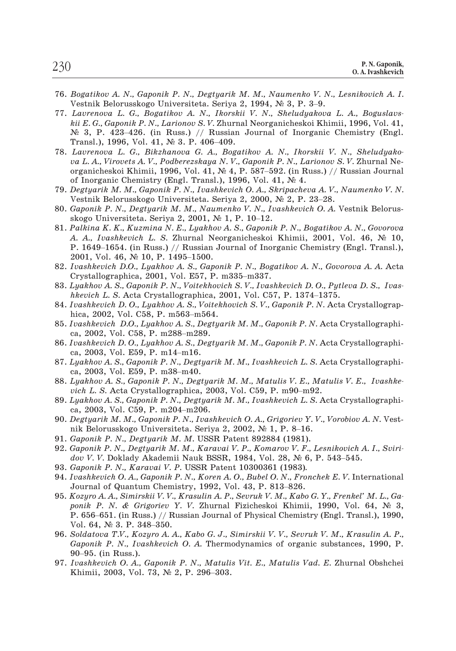- 76. *Bogatikov A. N., Gaponik P. N., Degtyarik M. M., Naumenko V. N., Lesnikovich A. I.* Bogatikov A. N., Gaponik P. N., Degtyarik M. M., Naumenko V. l<br>Vestnik Belorusskogo Universiteta. Seriya 2, 1994, № 3, P. 3–9.
- 77. *Lavrenova L. G., Bogatikov A. N., Ikorskii V. N., Sheludyakova L. A., Boguslavskii E. G., Gaponik P. N., Larionov S. V.* Zhurnal Neorganicheskoi Khimii, 1996, Vol. 41, Bogatikov A. N., Gaponik P. N., Degtyarik M. M., Naumenko V. N., Lesnikovich A. I.<br>Vestnik Belorusskogo Universiteta. Seriya 2, 1994, № 3, P. 3–9.<br>Lavrenova L. G., Bogatikov A. N., Ikorskii V. N., Sheludyakova L. A., Bogu Vestnik Belorusskogo Universiteta. Seriya 2, 1994, Ne 3, P. 3–9.<br> *Lavrenova L. G., Bogatikov A. N., Ikorskii V. N., Sheludyakova L. A., Boguslavs-kii E. G., Gaponik P. N., Larionov S. V. Zhurnal Neorganicheskoi Khimii, 1* kii E. G., Gaponik P. N., Larionov S. V. Zhurnal Neorganicheskoi Khimii, 1996, Vol. 41,  $\mathbb{N}^2$  3, P. 423–426. (in Russ.) // Russian Journal of Inorganic Chemistry (Engl. Transl.), 1996, Vol. 41,  $\mathbb{N}^2$  3. P. 406–4
- 78. *Lavrenova L. G., Bikzhanova G. A., Bogatikov A. N., Ikorskii V. N., Sheludyakova L. A., Virovets A. V., Podberezskaya N. V., Gaponik P. N., Larionov S. V.* Zhurnal Neof Inorganic Chemistry (Engl. Transl.), 1996, Vol. 41, No 4. Lavrenova L. G., Bikzhanova G. A., Bogatikov A. N., Ikorskii V.<br>va L. A., Virovets A. V., Podberezskaya N. V., Gaponik P. N., Larionov<br>organicheskoi Khimii, 1996, Vol. 41, N. 4, P. 587–592. (in Russ.) /<br>of Inorganic Chemi organicheskoi Khimii, 1996, Vol. 41, Nº 4, P. 587–5<br>of Inorganic Chemistry (Engl. Transl.), 1996, Vol.<br>Degtyarik M. M., Gaponik P. N., Ivashkevich O. A., S<br>Vestnik Belorusskogo Universiteta. Seriya 2, 2000,<br>Gaponik P. N.,
- 79. *Degtyarik M. M., Gaponik P. N., Ivashkevich O. A., Skripacheva A. V., Naumenko V. N.*
- 80. *Gaponik P. N., Degtyarik M. M., Naumenko V. N., Ivashkevich O. A.* Vestnik Belorus-
- 81. *Palkina K. K., Kuzmina N. E., Lyakhov A. S., Gaponik P. N., Bogatikov A. N., Govorova A. A., Ivashkevich L. S. Zhurnal Neorganicheskoi Khimii, 2001, Vol. 46, № 10,* Vestnik Belorusskogo Universiteta. Seriya 2, 2000, Ne 2, P. 23–28.<br>Gaponik P. N., Degtyarik M. M., Naumenko V. N., Ivashkevich O. A. Vestnik Belorus-<br>skogo Universiteta. Seriya 2, 2001, Ne 1, P. 10–12.<br>Palkina K. K., Kuzmi Gaponik P. N., Degtyarik M. M., Natskogo Universiteta. Seriya 2, 2001,<br>Palkina K. K., Kuzmina N. E., Lyakh<br>A. A., Ivashkevich L. S. Zhurnal N.<br>P. 1649–1654. (in Russ.) // Russian<br>2001, Vol. 46, № 10, P. 1495–1500. Palkina K. K., Kuzmina N. E., Lyakhov A. S., Gaponi<br>A. A., Ivashkevich L. S. Zhurnal Neorganicheskoi<br>P. 1649–1654. (in Russ.) // Russian Journal of Inc<br>2001, Vol. 46, № 10, P. 1495–1500.<br>Ivashkevich D.O., Lyakhov A. S., G
- 82. *Ivashkevich D.O., Lyakhov A. S., Gaponik P. N., Bogatikov A. N., Govorova A. A.* Acta **P. 1649–1654.** (in Russ.) // Russian Journal of Inorganic Chemistry (Engl. Transl.), 2001, Vol. 46, № 10, P. 1495–1500.<br>*Ivashkevich D.O., Lyakhov A. S., Gaponik P. N., Bogatikov A. N., Govorova A. A.* Acta Crystallograp Ivashkevich D.O., Lyakhov A. S., Gapo<br>Crystallographica, 2001, Vol. E57, P.<br>Lyakhov A. S., Gaponik P. N., Voitekhov<br>hkevich L. S. Acta Crystallographica,<br>Ivashkevich D. O., Lyakhov A. S., Voite<br>hica, 2002, Vol. C58, P. m56
- 83. *Lyakhov A. S., Gaponik P. N., Voitekhovich S. V., Ivashkevich D. O., Pytleva D. S., Ivas-*Lyakhov A. S., Gaponik P. N., Voitekh<br>hkevich L. S. Acta Crystallographic:<br>Ivashkevich D. O., Lyakhov A. S., Voi<br>hica, 2002, Vol. C58, P. m563–m56<br>Ivashkevich D.O., Lyakhov A. S., Deg<br>ca, 2002, Vol. C58, P. m288–m289.
- 84. *Ivashkevich D. O., Lyakhov A. S., Voitekhovich S. V., Gaponik P. N.* Acta Crystallograp-*Ivashkevich D.O., Lyakhov A.S., Vol. C58, P. m563–m*<br>hica, 2002, Vol. C58, P. m563–m<br>*Ivashkevich D.O., Lyakhov A.S., L*<br>ca, 2002, Vol. C58, P. m288–m28<br>*Ivashkevich D.O., Lyakhov A.S., L*<br>ca, 2003, Vol. E59, P. m14–m16.
- 
- 85. *Ivashkevich D.O., Lyakhov A. S., Degtyarik M. M., Gaponik P. N.* Acta Crystallographica, 2002, Vol. C58, P. m288–m289.<br>86. *Ivashkevich D.O., Lyakhov A. S., Degtyarik M. M., Gaponik P. N.* Acta Crystallographica, 2003 86. *Ivashkevich D. O., Lyakhov A. S., Degtyarik M. M., Gaponik P. N.* Acta Crystallographica, 2003, Vol. E59, P. m14–m16.<br>87. *Lyakhov A. S., Gaponik P. N., Degtyarik M. M., Ivashkevich L. S.* Acta Crystallographica, 2003
- 87. *Lyakhov A. S., Gaponik P. N., Degtyarik M. M., Ivashkevich L. S.* Acta Crystallographi-
- 88. *Lyakhov A. S., Gaponik P. N., Degtyarik M. M., Matulis V. E., Matulis V. E., Ivashke-*Lyakhov A. S., Gaponik P. N., Degtya<br>ca, 2003, Vol. E59, P. m38–m40.<br>Lyakhov A. S., Gaponik P. N., Degtya<br>vich L. S. Acta Crystallographica, 2<br>Lyakhov A. S., Gaponik P. N., Degtya<br>ca, 2003, Vol. C59, P. m204–m206. Lyakhov A. S., Gaponik P. N., Degtyarik M. M., Matulis V. E., vich L. S. Acta Crystallographica, 2003, Vol. C59, P. m90–m9<br>Lyakhov A. S., Gaponik P. N., Degtyarik M. M., Ivashkevich L. S.<br>ca, 2003, Vol. C59, P. m204–m206.
- 89. *Lyakhov A. S., Gaponik P. N., Degtyarik M. M., Ivashkevich L. S.* Acta Crystallographi-
- 90. *Degtyarik M. M., Gaponik P. N., Ivashkevich O. A., Grigoriev Y. V., Vorobiov A. N.* Vestca, 2003, Vol. C59, P. m204–m206.<br>*Degtyarik M. M., Gaponik P. N., Ivashkevich O. A., Grigoriev Y. V., Vorobiov*<br>nik Belorusskogo Universiteta. Seriya 2, 2002, № 1, P. 8–16.<br>*Gaponik P. N., Degtyarik M. M., Karavai V. P.,*
- 91. *Gaponik P. N., Degtyarik M. M.* USSR Patent 892884 (1981).
- 92. *Gaponik P. N., Degtyarik M. M., Karavai V. P., Komarov V. F., Lesnikovich A. I., Sviri-*Gaponik P. N., Degtyarik M. M. USSR Patent 892884 (1981)<br>Gaponik P. N., Degtyarik M. M., Karavai V. P., Komarov V. F<br>dov V. V. Doklady Akademii Nauk BSSR, 1984, Vol. 28, Ne<br>Gaponik P. N., Karavai V. P. USSR Patent 10300361
- 93. *Gaponik P. N., Karavai V. P.* USSR Patent 10300361 (1983)*.*
- 94. *Ivashkevich O. A., Gaponik P. N., Koren A. O., Bubel O. N., Fronchek E. V.* International
- 95. *Kozyro A. A., Simirskii V. V., Krasulin A. P., Sevruk V. M., Kabo G. Y., Frenkel' M. L., Gaponik P. N. & Grigoriev Y. V. Zhurnal Fizicheskoi Khimii, 1990, Vol. 64, № 3,* Gaponik P. N., Karavai V. P. USSR Patent 10300361 (1983).<br>Ivashkevich O. A., Gaponik P. N., Koren A. O., Bubel O. N., Fronchek E. V. International<br>Journal of Quantum Chemistry, 1992, Vol. 43, P. 813–826.<br>Kozyro A. A., Sim *Vashkevich O.A., Gaponik*<br>Journal of Quantum Chen<br>Kozyro A.A., Simirskii V. V<br>ponik P. N. & Grigoriev<br>P. 656–651. (in Russ.) // I<br>Vol. 64, Ne 3. P. 348–350. ponik P. N. *& G*<br>P. 656–651. (in Ru<br>Vol. 64, № 3. P. 3<br>Soldatova T.V., K*c*<br>Gaponik P. N., Iv<br>90–95. (in Russ.).
- 96. *Soldatova T.V., Kozyro A. A., Kabo G. J., Simirskii V. V., Sevruk V. M., Krasulin A. P., Gaponik P. N., Ivashkevich O. A.* Thermodynamics of organic substances, 1990, P. Vol. 64, Nº 3. P. 348–350.<br>Soldatova T.V., Kozyro A. A., Kabo G. J., S.<br>Soldatova T.V., Kozyro A. A., Kabo G. J., S.<br>Gaponik P. N., Ivashkevich O. A. Thermo<br>90–95. (in Russ.).<br>Ivashkevich O. A., Gaponik P. N., Matuli.<br>Khim
- 97. *Ivashkevich O. A., Gaponik P. N., Matulis Vit. E., Matulis Vad. E.* Zhurnal Obshchei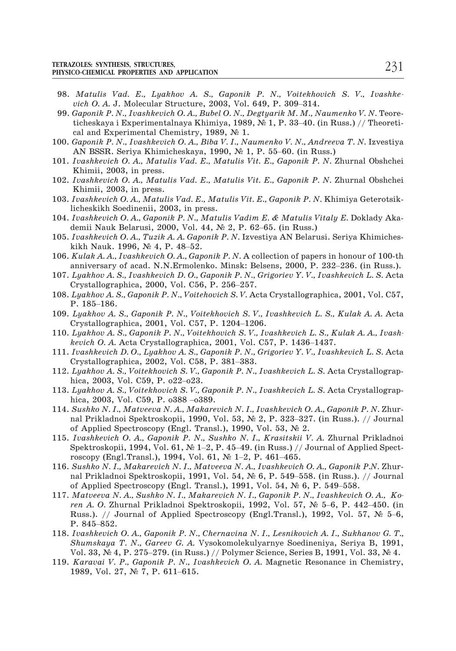- 98. *Matulis Vad. E., Lyakhov A. S., Gaponik P. N., Voitekhovich S. V., Ivashke-***PRICAL PROPERTIES AND APPLICATION<br>***Matulis Vad. E., Lyakhov A. S., Gaponik P. N., Voitekho***<br>***vich O. A. J. Molecular Structure, 2003, Vol. 649, P. 309–314.* TO-CHEMICAL PROPERTIES AND APPLICATION<br>
Matulis Vad. E., Lyakhov A. S., Gaponik P. N., Voitekhovich S. V., Ivashke-<br>
vich O. A. J. Molecular Structure, 2003, Vol. 649, P. 309–314.<br>
Gaponik P. N., Ivashkevich O. A., Bubel O
- 99. *Gaponik P. N., Ivashkevich O. A., Bubel O. N., Degtyarik M. M., Naumenko V. N.* Teorecal and Experimental Chemistry, 1989,  $\mathcal{N}_2$  1. vich O. A. J. Molecular Structure, 2003, Vol. 649, P. 309–314.<br>Gaponik P. N., Ivashkevich O. A., Bubel O. N., Degtyarik M. M., Naun<br>ticheskaya i Experimentalnaya Khimiya, 1989, N° 1, P. 33–40. (in R<br>cal and Experimental C
- 100. *Gaponik P. N., Ivashkevich O. A., Biba V. I., Naumenko V. N., Andreeva T. N.* Izvestiya
- 101. *Ivashkevich O. A., Matulis Vad. E., Matulis Vit. E., Gaponik P. N.* Zhurnal Obshchei Khimii, 2003, in press.
- Khimii, 2003, in press.
- 102. *Ivashkevich O. A., Matulis Vad. E., Matulis Vit. E., Gaponik P. N. Zhurnal Obshchei*<br>Khimii, 2003, in press.<br>103. *Ivashkevich O. A., Matulis Vad. E., Matulis Vit. E., Gaponik P. N.* Khimiya Geterotsik-<br>licheskikh S 103. *Ivashkevich O. A., Matulis Vad. E., Matulis Vit. E., Gaponik P. N.* Khimiya Geterotsiklicheskikh Soedinenii, 2003, in press. Ivashkevich O. A., Matulis Vad. E.<br>licheskikh Soedinenii, 2003, in pr<br>licheskikh Soedinenii, 2003, in pr<br>licheskikh Soedinenii, 2000, Vol.<br>lichii Nauk. Belarusi, 2000, Vol.<br>licheskich O. A., Tuzik A. A. Gap<br>kikh Nauk. 1996
- 104. *Ivashkevich O. A., Gaponik P. N., Matulis Vadim E. & Matulis Vitaly E.* Doklady Aka-Icheskikh Soedinenii, 2003, in press.<br>
104. *Ivashkevich O. A., Gaponik P. N., Matulis Vadim E. & Matulis Vitaly E.* Doklady Akademii Nauk Belarusi, 2000, Vol. 44, Ne 2, P. 62–65. (in Russ.)<br>
105. *Ivashkevich O. A., Tuzik* Ivashkevich O. A., Gaponik P. N., Matulis Vadim E. & Matulis Vitaly E. Doklady Aka<br>demii Nauk Belarusi, 2000, Vol. 44, Nº 2, P. 62–65. (in Russ.)<br>Ivashkevich O. A., Tuzik A. A. Gaponik P. N. Izvestiya AN Belarusi. Seriya
- 105. *Ivashkevich O. A., Tuzik A. A. Gaponik P. N.* Izvestiya AN Belarusi. Seriya Khimiches-
- Ivashkevich O. A., Tuzik A. A. Gaponik P. N. Izve<br>kikh Nauk. 1996, Ne 4, P. 48–52.<br>Kulak A. A., Ivashkevich O. A., Gaponik P. N. A conniversary of acad. N.N. Ermolenko. Minsk: B<br>Lyakhov A. S., Ivashkevich D. O., Gaponik P.
- 107. *Lyakhov A. S., Ivashkevich D. O., Gaponik P. N., Grigoriev Y. V., Ivashkevich L. S.* Acta kikh Nauk. 1996,  $N_e$  4, P. 48–52.<br>
106. Kulak A. A., Ivashkevich O. A., Gaponik P. N. A collection of papers in honour of 100-th<br>
anniversary of acad. N.N.Ermolenko. Minsk: Belsens, 2000, P. 232–236. (in Russ.).<br>
107. Ly
- 108. *Lyakhov A. S., Gaponik P. N., Voitehovich S. V.* Acta Crystallographica, 2001, Vol. C57, Crystallographica, 2000, Vol. C56, P. 256–257.<br>Lyakhov A. S., Gaponik P. N., Voitehovich S. V. Acta<br>P. 185–186.<br>Lyakhov A. S., Gaponik P. N., Voitekhovich S. V., Crystallographica, 2001, Vol. C57, P. 1204–1206. *Lyakhov A. S., Gaponik P. N., Voitehovich S. V.* Acta Crystallographica<br>
P. 185–186.<br> *Lyakhov A. S., Gaponik P. N., Voitekhovich S. V., Ivashkevich L. S.,*<br> *Crystallographica, 2001, Vol. C57, P. 1204–1206.*<br> *Lyakhov A.*
- 109. *Lyakhov A. S., Gaponik P. N., Voitekhovich S. V., Ivashkevich L. S., Kulak A. A.* Acta
- 110. *Lyakhov A. S., Gaponik P. N., Voitekhovich S. V., Ivashkevich L. S., Kulak A. A., Ivash-*Lyakhov A. S., Gaponik P. N., Voitekhovich S. V.<br>Crystallographica, 2001, Vol. C57, P. 1204–120<br>Lyakhov A. S., Gaponik P. N., Voitekhovich S. V.,<br>kevich O. A. Acta Crystallographica, 2001, Vol.<br>Ivashkevich D. O., Lyakhov A Lyakhov A. S., Gaponik P. N., Voit<br>kevich O. A. Acta Crystallographic<br>lvashkevich D. O., Lyakhov A. S., C<br>Crystallographica, 2002, Vol. C58<br>Lyakhov A. S., Voitekhovich S. V., v<br>hica, 2003, Vol. C59, P. o22–o23.
- 111. *Ivashkevich D. O., Lyakhov A. S., Gaponik P. N., Grigoriev Y. V., Ivashkevich L. S.* Acta Ivashkevich D. O., Lyakhov A. S., Gap<br>Crystallographica, 2002, Vol. C58, P<br>Lyakhov A. S., Voitekhovich S. V., Gap<br>hica, 2003, Vol. C59, P. o22–o23.<br>Lyakhov A. S., Voitekhovich S. V., Gap<br>hica, 2003, Vol. C59, P. o388–o389.
- 112. *Lyakhov A. S., Voitekhovich S. V., Gaponik P. N., Ivashkevich L. S.* Acta Crystallograp-
- 113. *Lyakhov A. S., Voitekhovich S. V., Gaponik P. N., Ivashkevich L. S.* Acta Crystallograp-Lyakhov A. S., Voitekhovich S. V., Gaponik P. N., Ivashkevich L. S. Acta Crystallographica, 2003, Vol. C59, P. o22–o23.<br>Lyakhov A. S., Voitekhovich S. V., Gaponik P. N., Ivashkevich L. S. Acta Crystallographica, 2003, Vol
- 114. *Sushko N. I., Matveeva N. A., Makarevich N. I., Ivashkevich O. A., Gaponik P. N.* Zhurof Applied Spectroscopy (Engl. Transl.), 1990, Vol. 53,  $\mathbb{N}^2$  2. Spektroskopii, 1994, Vol. 61, Ne $1-2$ , P. 45–49. (in Russ.) // Journal Prikladnoi Spektroskopii, 1990, Vol. 53, Ne 2, P. 323–327. (in Russ.). // Journal Prikladnoi Spektroskopii, 1990, Vol. 53, Ne 2, P. 323–327. (in Russ.
- 115. *Ivashkevich O. A., Gaponik P. N., Sushko N. I., Krasitskii V. A.* Zhurnal Prikladnoi Sushko N. I., Matveeva N. A., Makarevich N. I., Ivashkevich<br>nal Prikladnoi Spektroskopii, 1990, Vol. 53, Nº 2, P. 323–4<br>of Applied Spectroscopy (Engl. Transl.), 1990, Vol. 53, Nº<br>Ivashkevich O. A., Gaponik P. N., Sushko N of Applied Spectroscopy (Engl. Transl.), 1990, Vol. 53,  $\mathbb{N}_2$  2.<br> *Ivashkevich O. A., Gaponik P. N., Sushko N. I., Krasitskii V. A. Zhurnal Prikladnoi*<br>
Spektroskopii, 1994, Vol. 61,  $\mathbb{N}_2$  1–2, P. 45–49. (in Russ. *Ivashkevich O. A., Gaponik P. N., Sushko N. I., Krasitskii V. A. Zhurnal* Spektroskopii, 1994, Vol. 61,  $\mathbb{N}^2$  1–2, P. 45–49. (in Russ.) // Journal of Approscopy (Engl. Transl.), 1994, Vol. 61,  $\mathbb{N}^2$  1–2, P. 461
- 116. *Sushko N. I., Makarevich N. I., Matveeva N. A., Ivashkevich O. A., Gaponik P.N.* Zhur*rendopy* (Engl. Transl.), 1994, Vol. 61, Ne 1–2, P. 461–465.<br> *Sushko N. I., Makarevich N. I., Matveeva N. A., Ivashkevich O. A., Gaponik P.N. Zhurnal Prikladnoi Spektroskopii, 1991, Vol. 54, Ne 6, P. 549–558. (in Russ.)* Sushko N. I., Makarevich N. I., Matveeva N. A., Ivashkevich O. A., Gaponik P.N. Zhurnal Prikladnoi Spektroskopii, 1991, Vol. 54,  $\mathbb{N}$  6, P. 549–558. (in Russ.). // Journal of Applied Spectroscopy (Engl. Transl.), 1991
- 117. *Matveeva N. A., Sushko N. I., Makarevich N. I., Gaponik P. N., Ivashkevich O. A., Ko*nal Prikladr<br>of Applied S<br>*Matveeva N<br>ren A. O. Z*h<br>Russ.). // J<br>P. 845–852. ren A. O. Zhurnal Prikladnoi Spektroskopii, 1992, Vol. 57, Nº 5–6, P. 442–450. (in Russ.). // Journal of Applied Spectroscopy (Engl.Transl.), 1992, Vol. 57, Nº 5–6<br>P. 845–852.<br>*Ivashkevich O. A., Gaponik P. N., Chernavina*
- 118. *Ivashkevich O. A., Gaponik P. N., Chernavina N. I., Lesnikovich A. I., Sukhanov G. T., Shumskaya T. N., Gareev G. A.* Vysokomolekulyarnye Soedineniya, Seriya B, 1991, P. 845–852.<br> *Ivashkevich O.A., Gaponik P.N.,*<br> *Shumskaya T.N., Gareev G.A.*<br>
Vol. 33, № 4, P. 275–279. (in Rus<br> *Karavai V. P., Gaponik P.N., I*<br>
1989, Vol. 27, № 7, P. 611–615.
- 119. *Karavai V. P., Gaponik P. N., Ivashkevich O. A.* Magnetic Resonance in Chemistry,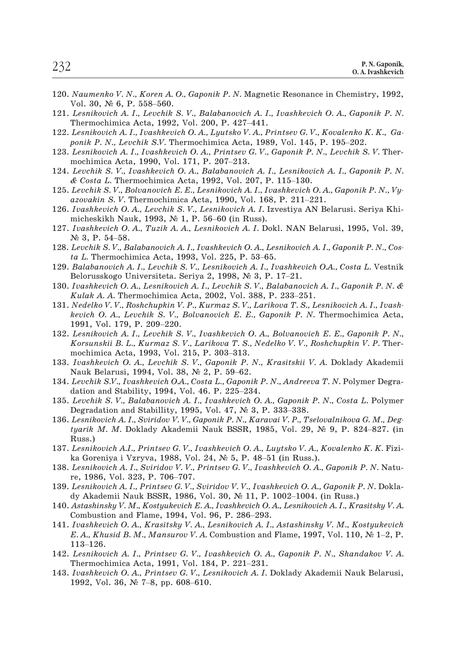- 120. *Naumenko V. N., Koren A. O., Gaponik P. N.* Magnetic Resonance in Chemistry, 1992, *Naumenko V. N., Koren A.*<br>Vol. 30, № 6, P. 558–560. Naumenko V. N., Koren A. O., Gaponik P. N. Magne<br>Vol. 30, № 6, P. 558–560.<br>Lesnikovich A. I., Levchik S. V., Balabanovich A. I<br>Thermochimica Acta, 1992, Vol. 200, P. 427–441. *Naumenko V. N., Koren A. O., Gaponik P. N. Magnetic Resonance in Chemist* Vol. 30,  $N_{e}$  6, P. 558–560.<br>*Lesnikovich A. I., Levchik S. V., Balabanovich A. I., Ivashkevich O. A., Gapor* Thermochimica Acta, 1992, Vol. 200,
- 121. *Lesnikovich A. I., Levchik S. V., Balabanovich A. I., Ivashkevich O. A., Gaponik P. N.* Lesnikovich A. I., Levchik S. V., Balabanovich<br>Thermochimica Acta, 1992, Vol. 200, P. 427–<br>Lesnikovich A. I., Ivashkevich O. A., Lyutsko V.<br>ponik P. N., Levchik S.V. Thermochimica Acta<br>Lesnikovich A. I., Ivashkevich O. A.,
- 122. *Lesnikovich A. I., Ivashkevich O. A., Lyutsko V. A., Printsev G. V., Kovalenko K. K., Ga-Lesnikovich A. I., Ivashkevich O. A., Lyutsko V. A., Printsev G. V. ponik P. N., Levchik S.V. Thermochimica Acta, 1989, Vol. 145*<br>*Lesnikovich A. I., Ivashkevich O. A., Printsev G. V., Gaponik P.* mochimica Acta, 1990, Vo
- 123. *Lesnikovich A. I., Ivashkevich O. A., Printsev G. V., Gaponik P. N., Levchik S. V.* Ther-
- 124. *Levchik S. V., Ivashkevich O. A., Balabanovich A. I., Lesnikovich A. I., Gaponik P. N. Lesnikovich A. I., Ivashkevich O. A., Printsev G. V., Gaponik P. N.,* mochimica Acta, 1990, Vol. 171, P. 207–213.<br>*Levchik S. V., Ivashkevich O. A., Balabanovich A. I., Lesnikovich* & Costa L. Thermochimica Acta, 1992, Vo
- 125. *Levchik S. V., Bolvanovich E. E., Lesnikovich A. I., Ivashkevich O. A., Gaponik P. N., Vy*mochimica Acta, 1990, Vol. 171, P. 207–213.<br>
Levchik S. V., Ivashkevich O. A., Balabanovich A. I., Lesnikovich<br>
& Costa L. Thermochimica Acta, 1992, Vol. 207, P. 115–130.<br>
Levchik S. V., Bolvanovich E. E., Lesnikovich A. I Levchik S.V., B<br>azovakin S.V.<br>Ivashkevich O.<br>micheskikh Na<br>Ivashkevich O.<br>Nº 3, P. 54–58.
- 126. *Ivashkevich O. A., Levchik S. V., Lesnikovich A. I.* Izvestiya AN Belarusi. Seriya Khi-*Ivashkevich O. A., Levchik S. V., Lesnikovich A. I.* Izmicheskikh Nauk, 1993, Ne 1, P. 56–60 (in Russ).<br>*Ivashkevich O. A., Tuzik A. A., Lesnikovich A. I.* Dok<br>Ne 3, P. 54–58.<br>*Levchik S. V., Balabanovich A. I., Ivashkevi*
- 127. *Ivashkevich O. A., Tuzik A. A., Lesnikovich A. I.* Dokl. NAN Belarusi, 1995, Vol. 39, Ivashkevich O. A., Tuzik A. A., Lesnikovich A. I. Dokl. NAM<br>
Nº 3, P. 54–58.<br>
Levchik S. V., Balabanovich A. I., Ivashkevich O. A., Lesnikovi<br>
ta L. Thermochimica Acta, 1993, Vol. 225, P. 53–65.<br>
Balabanovich A. I., Levchi
- 128. *Levchik S. V., Balabanovich A. I., Ivashkevich O. A., Lesnikovich A. I., Gaponik P. N., Cos-*
- 129. *Balabanovich A. I., Levchik S. V., Lesnikovich A. I., Ivashkevich O.A., Costa L.* Vestnik
- 130. *Ivashkevich O. A., Lesnikovich A. I., Levchik S. V., Balabanovich A. I., Gaponik P. N. &* Levchik S. V., Balabanovich A. I., Ivashkevich O. A., Lesnikovich A<br>ta L. Thermochimica Acta, 1993, Vol. 225, P. 53–65.<br>Balabanovich A. I., Levchik S. V., Lesnikovich A. I., Ivashkevich<br>Belorusskogo Universiteta. Seriya 2
- 131. *Nedelko V. V., Roshchupkin V. P., Kurmaz S. V., Larikova T. S., Lesnikovich A. I., Ivashkevich O. A., Levchik S. V., Bolvanovich E. E., Gaponik P. N.* Thermochimica Acta, Belorusskogo Universiteta. Seriya 2, 1998,  $N_e$  3, P. 17-21.<br> *Ivashkevich O.A., Lesnikovich A. I., Levchik S. V., Balabanovick*<br> *Kulak A. A.* Thermochimica Acta, 2002, Vol. 388, P. 233-251.<br> *Nedelko V. V., Roshchupkin* Nedelko V.V., Roshchupkin V.P., Kurmaz S.V.<br>kevich O. A., Levchik S. V., Bolvanovich E. E<br>1991, Vol. 179, P. 209–220.<br>Lesnikovich A. I., Levchik S. V., Ivashkevich (Korsunskii B. L., Kurmaz S. V., Larikova T. S.<br>mochimica
- 132. *Lesnikovich A. I., Levchik S. V., Ivashkevich O. A., Bolvanovich E. E., Gaponik P. N., Korsunskii B. L., Kurmaz S. V., Larikova T. S., Nedelko V. V., Roshchupkin V. P.* Ther-Korsunskii B. L., Kurmaz S. V., Larikova T. S., N<br>mochimica Acta, 1993, Vol. 215, P. 303–313.<br>Ivashkevich O. A., Levchik S. V., Gaponik P. N.<br>Nauk Belarusi, 1994, Vol. 38, Nº 2, P. 59–62.<br>Levchik S.V., Ivashkevich O.A., Co
- 133. *Ivashkevich O. A., Levchik S. V., Gaponik P. N., Krasitskii V. A.* Doklady Akademii mochimica Acta, 1993, Vol. 215, P. 303–313.<br>Ivashkevich O. A., Levchik S. V., Gaponik P.<br>Nauk Belarusi, 1994, Vol. 38, № 2, P. 59–62.
- 134. *Levchik S.V., Ivashkevich O.A., Costa L., Gaponik P. N., Andreeva T. N.* Polymer Degra-Ivashkevich O. A., Levchik S. V., Gaponik P. N., Krasitskii Nauk Belarusi, 1994, Vol. 38,  $\mathbb{N}^2$  2, P. 59–62.<br>Levchik S.V., Ivashkevich O.A., Costa L., Gaponik P. N., Andree dation and Stability, 1994, Vol. 46. P. 225
- 135. *Levchik S. V., Balabanovich A. I., Ivashkevich O. A., Gaponik P. N., Costa L.* Polymer
- 136. *Lesnikovich A. I., Sviridov V. V., Gaponik P. N., Karavai V. P., Tselovalnikova G. M., Deg-Levchik S.V., Ivashkevich O.A., Costa L., Gaponik P. N., Andreeva T. N. Polymer Degradation and Stability, 1994, Vol. 46. P. 225–234.<br><i>Levchik S. V., Balabanovich A. I., Ivashkevich O. A., Gaponik P. N., Costa L. Polymer* Russ.) Degradation and Stabillity, 1995, Vol. 47, Ne 3, P. 333–338.<br>Lesnikovich A. I., Sviridov V. V., Gaponik P. N., Karavai V. P., Tseltyarik M. M. Doklady Akademii Nauk BSSR, 1985, Vol. 29, J<br>Russ.)<br>Lesnikovich A.I., Printsev *tyarik M. M. Doklady Akademi*<br>Russ.)<br>*Lesnikovich A.I., Printsev G. V.,*<br>ka Goreniya i Vzryva, 1988, Vo<br>*Lesnikovich A. I., Sviridov V. V.*,<br>re, 1986, Vol. 323, P. 706–707.
- 137. *Lesnikovich A.I., Printsev G. V., Ivashkevich O. A., Luytsko V. A., Kovalenko K. K.* Fizi-
- 138. *Lesnikovich A. I., Sviridov V. V., Printsev G. V., Ivashkevich O. A., Gaponik P. N.* Natu-
- 139. *Lesnikovich A. I., Printsev G. V., Sviridov V. V., Ivashkevich O. A., Gaponik P. N.* Dokla-Lesnikovich A.I., Printsev G. V., Ivashkevich O. A., Luytsko V. A., Kovalenko<br>ka Goreniya i Vzryva, 1988, Vol. 24, Ne 5, P. 48–51 (in Russ.).<br>Lesnikovich A. I., Sviridov V. V., Printsev G. V., Ivashkevich O. A., Gaponik<br>re Lesnikovich A. I., Sviridov V. V., Printsev G. V., Ivas<br>re, 1986, Vol. 323, P. 706–707.<br>Lesnikovich A. I., Printsev G. V., Sviridov V. V., Ivasl<br>dy Akademii Nauk BSSR, 1986, Vol. 30, № 11, P.<br>Astashinsky V. M., Kostyukevi *Lesnikovich A. I., Printsev G. V., Sviridov V. V., Ivashkevich O. A., Gaponik P. N. Doklady Akademii Nauk BSSR, 1986, Vol. 30, № 11, P. 1002–1004. (in Russ.) <i>Astashinsky V. M., Kostyukevich E. A., Ivashkevich O. A., Les*
- 140. *Astashinsky V. M., Kostyukevich E. A., Ivashkevich O. A., Lesnikovich A. I., Krasitsky V. A.*
- 141. *Ivashkevich O. A., Krasitsky V. A., Lesnikovich A. I., Astashinsky V. M., Kostyukevich* dy Akade<br>Astashins<br>Combusti<br>*Ivashkev*<br>E. A., Khu<br>113–126. Combustion and Flame, 1994, Vol. 96, P. 286–293<br>Ivashkevich O. A., Krasitsky V. A., Lesnikovich A. I<br>E. A., Khusid B. M., Mansurov V. A. Combustion and<br>113–126.<br>Lesnikovich A. I., Printsev G. V., Ivashkevich O. A<br>Thermochi *E. A., Khusid B. M., Mansurov V. A.* (113–126.<br>113–126.<br>*Lesnikovich A. I., Printsev G. V., Iv*<br>Thermochimica Acta, 1991, Vol. 18<br>*Ivashkevich O. A., Printsev G. V., Le*<br>1992, Vol. 36, Ne 7–8, pp. 608–610.
- 142. *Lesnikovich A. I., Printsev G. V., Ivashkevich O. A., Gaponik P. N., Shandakov V. A.*
- 143. *Ivashkevich O. A., Printsev G. V., Lesnikovich A. I.* Doklady Akademii Nauk Belarusi,